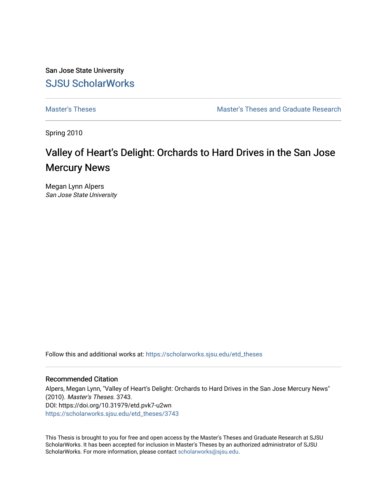San Jose State University [SJSU ScholarWorks](https://scholarworks.sjsu.edu/) 

[Master's Theses](https://scholarworks.sjsu.edu/etd_theses) [Master's Theses and Graduate Research](https://scholarworks.sjsu.edu/etd) 

Spring 2010

# Valley of Heart's Delight: Orchards to Hard Drives in the San Jose Mercury News

Megan Lynn Alpers San Jose State University

Follow this and additional works at: [https://scholarworks.sjsu.edu/etd\\_theses](https://scholarworks.sjsu.edu/etd_theses?utm_source=scholarworks.sjsu.edu%2Fetd_theses%2F3743&utm_medium=PDF&utm_campaign=PDFCoverPages)

#### Recommended Citation

Alpers, Megan Lynn, "Valley of Heart's Delight: Orchards to Hard Drives in the San Jose Mercury News" (2010). Master's Theses. 3743. DOI: https://doi.org/10.31979/etd.pvk7-u2wn [https://scholarworks.sjsu.edu/etd\\_theses/3743](https://scholarworks.sjsu.edu/etd_theses/3743?utm_source=scholarworks.sjsu.edu%2Fetd_theses%2F3743&utm_medium=PDF&utm_campaign=PDFCoverPages)

This Thesis is brought to you for free and open access by the Master's Theses and Graduate Research at SJSU ScholarWorks. It has been accepted for inclusion in Master's Theses by an authorized administrator of SJSU ScholarWorks. For more information, please contact [scholarworks@sjsu.edu](mailto:scholarworks@sjsu.edu).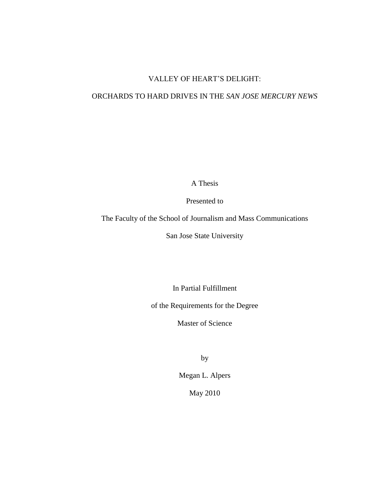# VALLEY OF HEART'S DELIGHT:

## ORCHARDS TO HARD DRIVES IN THE *SAN JOSE MERCURY NEWS*

A Thesis

Presented to

The Faculty of the School of Journalism and Mass Communications

San Jose State University

In Partial Fulfillment

of the Requirements for the Degree

Master of Science

by

Megan L. Alpers

May 2010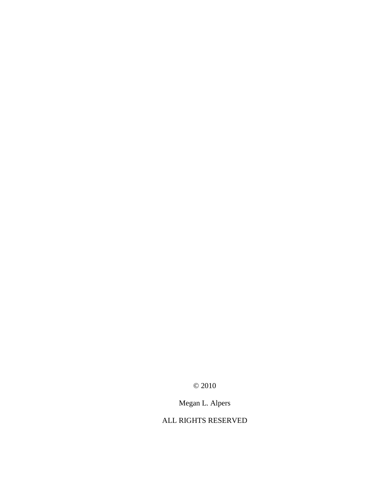© 2010

Megan L. Alpers

# ALL RIGHTS RESERVED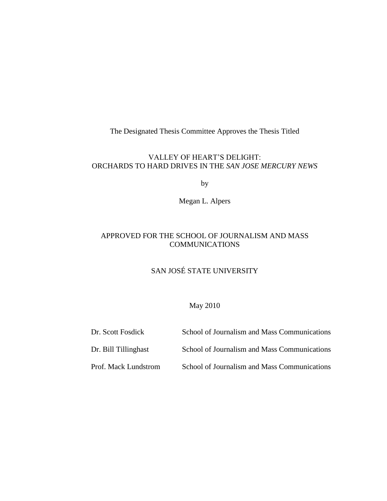The Designated Thesis Committee Approves the Thesis Titled

### VALLEY OF HEART'S DELIGHT: ORCHARDS TO HARD DRIVES IN THE *SAN JOSE MERCURY NEWS*

by

Megan L. Alpers

# APPROVED FOR THE SCHOOL OF JOURNALISM AND MASS **COMMUNICATIONS**

# SAN JOSÉ STATE UNIVERSITY

### May 2010

| Dr. Scott Fosdick    | School of Journalism and Mass Communications |
|----------------------|----------------------------------------------|
| Dr. Bill Tillinghast | School of Journalism and Mass Communications |
| Prof. Mack Lundstrom | School of Journalism and Mass Communications |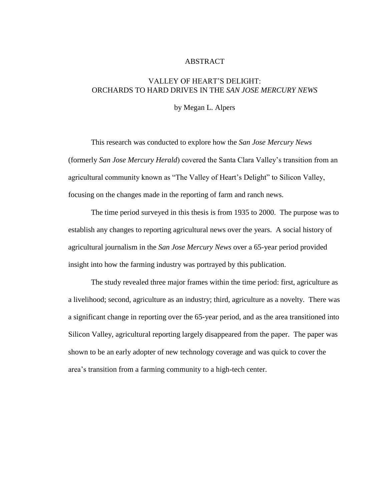#### ABSTRACT

### VALLEY OF HEART'S DELIGHT: ORCHARDS TO HARD DRIVES IN THE *SAN JOSE MERCURY NEWS*

by Megan L. Alpers

This research was conducted to explore how the *San Jose Mercury News* (formerly *San Jose Mercury Herald*) covered the Santa Clara Valley's transition from an agricultural community known as "The Valley of Heart's Delight" to Silicon Valley, focusing on the changes made in the reporting of farm and ranch news.

The time period surveyed in this thesis is from 1935 to 2000. The purpose was to establish any changes to reporting agricultural news over the years. A social history of agricultural journalism in the *San Jose Mercury News* over a 65-year period provided insight into how the farming industry was portrayed by this publication.

The study revealed three major frames within the time period: first, agriculture as a livelihood; second, agriculture as an industry; third, agriculture as a novelty. There was a significant change in reporting over the 65-year period, and as the area transitioned into Silicon Valley, agricultural reporting largely disappeared from the paper. The paper was shown to be an early adopter of new technology coverage and was quick to cover the area's transition from a farming community to a high-tech center.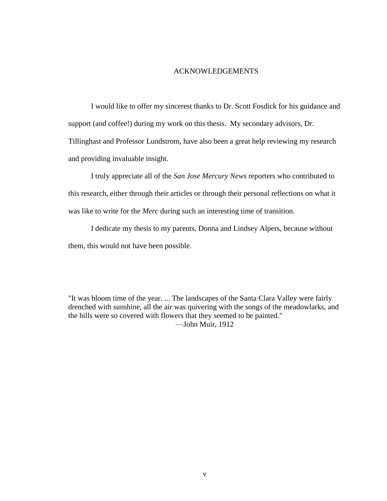### ACKNOWLEDGEMENTS

I would like to offer my sincerest thanks to Dr. Scott Fosdick for his guidance and support (and coffee!) during my work on this thesis. My secondary advisors, Dr. Tillinghast and Professor Lundstrom, have also been a great help reviewing my research and providing invaluable insight.

I truly appreciate all of the *San Jose Mercury News* reporters who contributed to this research, either through their articles or through their personal reflections on what it was like to write for the *Merc* during such an interesting time of transition.

I dedicate my thesis to my parents, Donna and Lindsey Alpers, because without them, this would not have been possible.

"It was bloom time of the year. ... The landscapes of the Santa Clara Valley were fairly drenched with sunshine, all the air was quivering with the songs of the meadowlarks, and the hills were so covered with flowers that they seemed to be painted." —John Muir, 1912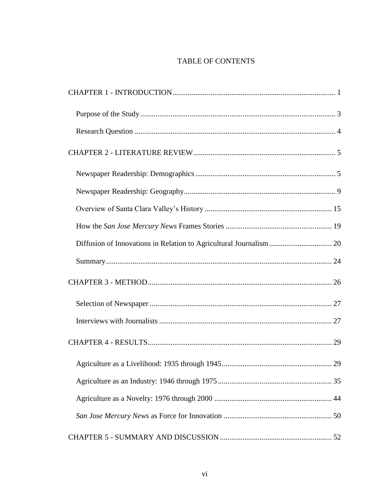# TABLE OF CONTENTS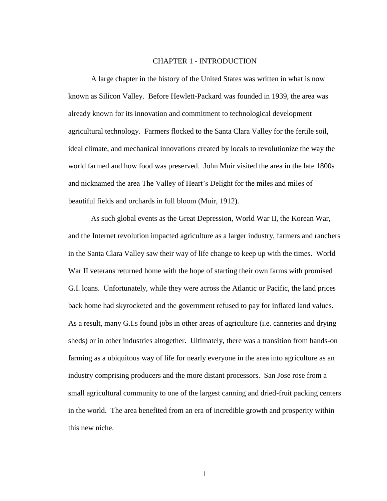#### CHAPTER 1 - INTRODUCTION

<span id="page-8-0"></span>A large chapter in the history of the United States was written in what is now known as Silicon Valley. Before Hewlett-Packard was founded in 1939, the area was already known for its innovation and commitment to technological development agricultural technology. Farmers flocked to the Santa Clara Valley for the fertile soil, ideal climate, and mechanical innovations created by locals to revolutionize the way the world farmed and how food was preserved. John Muir visited the area in the late 1800s and nicknamed the area The Valley of Heart's Delight for the miles and miles of beautiful fields and orchards in full bloom (Muir, 1912).

As such global events as the Great Depression, World War II, the Korean War, and the Internet revolution impacted agriculture as a larger industry, farmers and ranchers in the Santa Clara Valley saw their way of life change to keep up with the times. World War II veterans returned home with the hope of starting their own farms with promised G.I. loans. Unfortunately, while they were across the Atlantic or Pacific, the land prices back home had skyrocketed and the government refused to pay for inflated land values. As a result, many G.I.s found jobs in other areas of agriculture (i.e. canneries and drying sheds) or in other industries altogether. Ultimately, there was a transition from hands-on farming as a ubiquitous way of life for nearly everyone in the area into agriculture as an industry comprising producers and the more distant processors. San Jose rose from a small agricultural community to one of the largest canning and dried-fruit packing centers in the world. The area benefited from an era of incredible growth and prosperity within this new niche.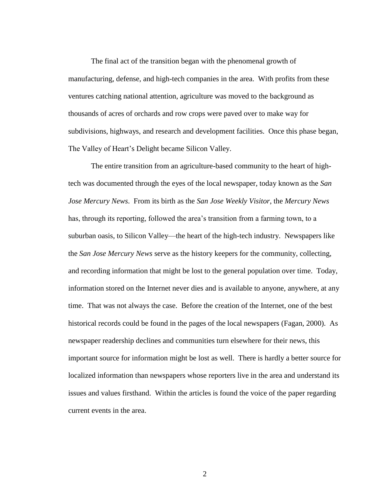The final act of the transition began with the phenomenal growth of manufacturing, defense, and high-tech companies in the area. With profits from these ventures catching national attention, agriculture was moved to the background as thousands of acres of orchards and row crops were paved over to make way for subdivisions, highways, and research and development facilities. Once this phase began, The Valley of Heart's Delight became Silicon Valley.

The entire transition from an agriculture-based community to the heart of hightech was documented through the eyes of the local newspaper, today known as the *San Jose Mercury News*. From its birth as the *San Jose Weekly Visitor*, the *Mercury News* has, through its reporting, followed the area's transition from a farming town, to a suburban oasis, to Silicon Valley—the heart of the high-tech industry. Newspapers like the *San Jose Mercury News* serve as the history keepers for the community, collecting, and recording information that might be lost to the general population over time. Today, information stored on the Internet never dies and is available to anyone, anywhere, at any time. That was not always the case. Before the creation of the Internet, one of the best historical records could be found in the pages of the local newspapers (Fagan, 2000). As newspaper readership declines and communities turn elsewhere for their news, this important source for information might be lost as well. There is hardly a better source for localized information than newspapers whose reporters live in the area and understand its issues and values firsthand. Within the articles is found the voice of the paper regarding current events in the area.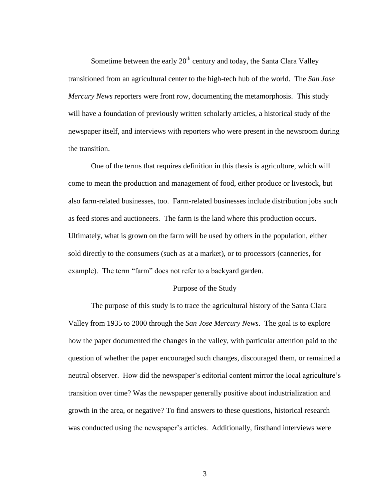Sometime between the early  $20<sup>th</sup>$  century and today, the Santa Clara Valley transitioned from an agricultural center to the high-tech hub of the world. The *San Jose Mercury News* reporters were front row, documenting the metamorphosis. This study will have a foundation of previously written scholarly articles, a historical study of the newspaper itself, and interviews with reporters who were present in the newsroom during the transition.

One of the terms that requires definition in this thesis is agriculture, which will come to mean the production and management of food, either produce or livestock, but also farm-related businesses, too. Farm-related businesses include distribution jobs such as feed stores and auctioneers. The farm is the land where this production occurs. Ultimately, what is grown on the farm will be used by others in the population, either sold directly to the consumers (such as at a market), or to processors (canneries, for example). The term "farm" does not refer to a backyard garden.

#### Purpose of the Study

<span id="page-10-0"></span>The purpose of this study is to trace the agricultural history of the Santa Clara Valley from 1935 to 2000 through the *San Jose Mercury News*. The goal is to explore how the paper documented the changes in the valley, with particular attention paid to the question of whether the paper encouraged such changes, discouraged them, or remained a neutral observer. How did the newspaper's editorial content mirror the local agriculture's transition over time? Was the newspaper generally positive about industrialization and growth in the area, or negative? To find answers to these questions, historical research was conducted using the newspaper's articles. Additionally, firsthand interviews were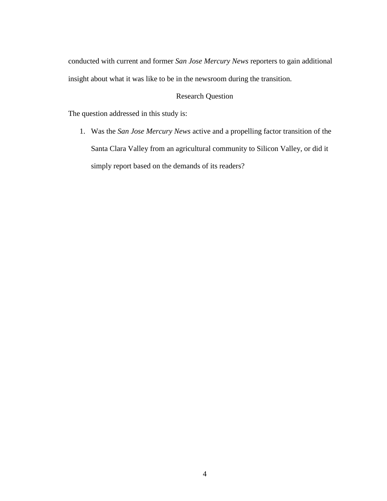conducted with current and former *San Jose Mercury News* reporters to gain additional insight about what it was like to be in the newsroom during the transition.

### Research Question

<span id="page-11-0"></span>The question addressed in this study is:

1. Was the *San Jose Mercury News* active and a propelling factor transition of the Santa Clara Valley from an agricultural community to Silicon Valley, or did it simply report based on the demands of its readers?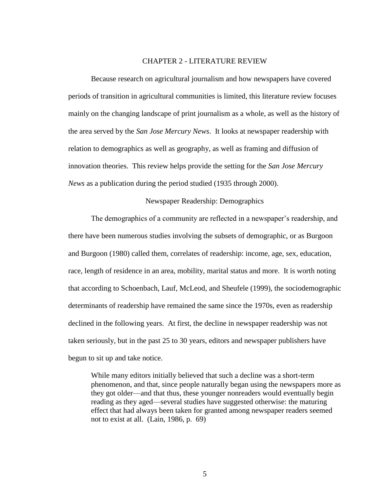#### CHAPTER 2 - LITERATURE REVIEW

<span id="page-12-0"></span>Because research on agricultural journalism and how newspapers have covered periods of transition in agricultural communities is limited, this literature review focuses mainly on the changing landscape of print journalism as a whole, as well as the history of the area served by the *San Jose Mercury News*. It looks at newspaper readership with relation to demographics as well as geography, as well as framing and diffusion of innovation theories. This review helps provide the setting for the *San Jose Mercury News* as a publication during the period studied (1935 through 2000).

#### Newspaper Readership: Demographics

<span id="page-12-1"></span>The demographics of a community are reflected in a newspaper's readership, and there have been numerous studies involving the subsets of demographic, or as Burgoon and Burgoon (1980) called them, correlates of readership: income, age, sex, education, race, length of residence in an area, mobility, marital status and more. It is worth noting that according to Schoenbach, Lauf, McLeod, and Sheufele (1999), the sociodemographic determinants of readership have remained the same since the 1970s, even as readership declined in the following years. At first, the decline in newspaper readership was not taken seriously, but in the past 25 to 30 years, editors and newspaper publishers have begun to sit up and take notice.

While many editors initially believed that such a decline was a short-term phenomenon, and that, since people naturally began using the newspapers more as they got older—and that thus, these younger nonreaders would eventually begin reading as they aged—several studies have suggested otherwise: the maturing effect that had always been taken for granted among newspaper readers seemed not to exist at all. (Lain, 1986, p. 69)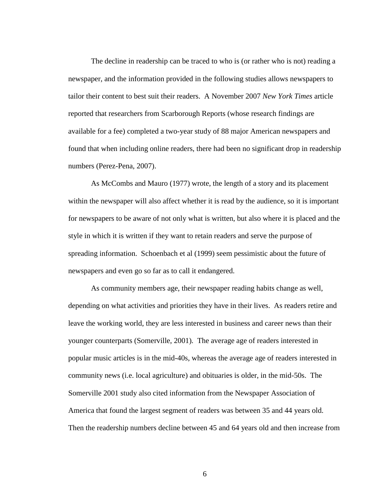The decline in readership can be traced to who is (or rather who is not) reading a newspaper, and the information provided in the following studies allows newspapers to tailor their content to best suit their readers. A November 2007 *New York Times* article reported that researchers from Scarborough Reports (whose research findings are available for a fee) completed a two-year study of 88 major American newspapers and found that when including online readers, there had been no significant drop in readership numbers (Perez-Pena, 2007).

As McCombs and Mauro (1977) wrote, the length of a story and its placement within the newspaper will also affect whether it is read by the audience, so it is important for newspapers to be aware of not only what is written, but also where it is placed and the style in which it is written if they want to retain readers and serve the purpose of spreading information. Schoenbach et al (1999) seem pessimistic about the future of newspapers and even go so far as to call it endangered.

As community members age, their newspaper reading habits change as well, depending on what activities and priorities they have in their lives. As readers retire and leave the working world, they are less interested in business and career news than their younger counterparts (Somerville, 2001). The average age of readers interested in popular music articles is in the mid-40s, whereas the average age of readers interested in community news (i.e. local agriculture) and obituaries is older, in the mid-50s. The Somerville 2001 study also cited information from the Newspaper Association of America that found the largest segment of readers was between 35 and 44 years old. Then the readership numbers decline between 45 and 64 years old and then increase from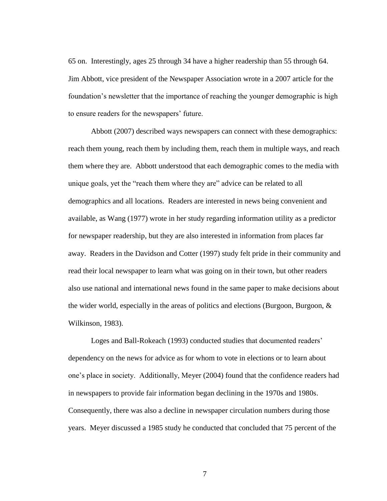65 on. Interestingly, ages 25 through 34 have a higher readership than 55 through 64. Jim Abbott, vice president of the Newspaper Association wrote in a 2007 article for the foundation's newsletter that the importance of reaching the younger demographic is high to ensure readers for the newspapers' future.

Abbott (2007) described ways newspapers can connect with these demographics: reach them young, reach them by including them, reach them in multiple ways, and reach them where they are. Abbott understood that each demographic comes to the media with unique goals, yet the "reach them where they are" advice can be related to all demographics and all locations. Readers are interested in news being convenient and available, as Wang (1977) wrote in her study regarding information utility as a predictor for newspaper readership, but they are also interested in information from places far away. Readers in the Davidson and Cotter (1997) study felt pride in their community and read their local newspaper to learn what was going on in their town, but other readers also use national and international news found in the same paper to make decisions about the wider world, especially in the areas of politics and elections (Burgoon, Burgoon, & Wilkinson, 1983).

Loges and Ball-Rokeach (1993) conducted studies that documented readers' dependency on the news for advice as for whom to vote in elections or to learn about one's place in society. Additionally, Meyer (2004) found that the confidence readers had in newspapers to provide fair information began declining in the 1970s and 1980s. Consequently, there was also a decline in newspaper circulation numbers during those years. Meyer discussed a 1985 study he conducted that concluded that 75 percent of the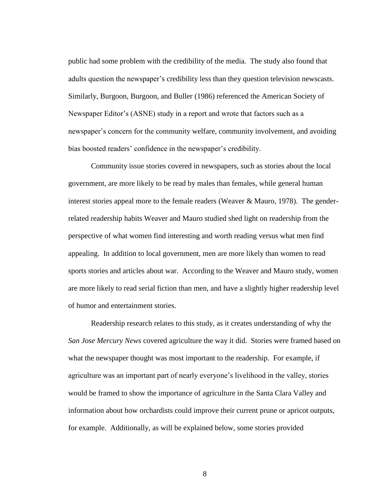public had some problem with the credibility of the media. The study also found that adults question the newspaper's credibility less than they question television newscasts. Similarly, Burgoon, Burgoon, and Buller (1986) referenced the American Society of Newspaper Editor's (ASNE) study in a report and wrote that factors such as a newspaper's concern for the community welfare, community involvement, and avoiding bias boosted readers' confidence in the newspaper's credibility.

Community issue stories covered in newspapers, such as stories about the local government, are more likely to be read by males than females, while general human interest stories appeal more to the female readers (Weaver & Mauro, 1978). The genderrelated readership habits Weaver and Mauro studied shed light on readership from the perspective of what women find interesting and worth reading versus what men find appealing. In addition to local government, men are more likely than women to read sports stories and articles about war. According to the Weaver and Mauro study, women are more likely to read serial fiction than men, and have a slightly higher readership level of humor and entertainment stories.

Readership research relates to this study, as it creates understanding of why the *San Jose Mercury News* covered agriculture the way it did. Stories were framed based on what the newspaper thought was most important to the readership. For example, if agriculture was an important part of nearly everyone's livelihood in the valley, stories would be framed to show the importance of agriculture in the Santa Clara Valley and information about how orchardists could improve their current prune or apricot outputs, for example. Additionally, as will be explained below, some stories provided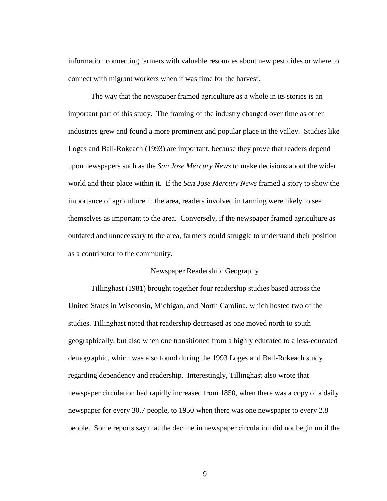information connecting farmers with valuable resources about new pesticides or where to connect with migrant workers when it was time for the harvest.

The way that the newspaper framed agriculture as a whole in its stories is an important part of this study. The framing of the industry changed over time as other industries grew and found a more prominent and popular place in the valley. Studies like Loges and Ball-Rokeach (1993) are important, because they prove that readers depend upon newspapers such as the *San Jose Mercury News* to make decisions about the wider world and their place within it. If the *San Jose Mercury News* framed a story to show the importance of agriculture in the area, readers involved in farming were likely to see themselves as important to the area. Conversely, if the newspaper framed agriculture as outdated and unnecessary to the area, farmers could struggle to understand their position as a contributor to the community.

#### Newspaper Readership: Geography

<span id="page-16-0"></span>Tillinghast (1981) brought together four readership studies based across the United States in Wisconsin, Michigan, and North Carolina, which hosted two of the studies. Tillinghast noted that readership decreased as one moved north to south geographically, but also when one transitioned from a highly educated to a less-educated demographic, which was also found during the 1993 Loges and Ball-Rokeach study regarding dependency and readership. Interestingly, Tillinghast also wrote that newspaper circulation had rapidly increased from 1850, when there was a copy of a daily newspaper for every 30.7 people, to 1950 when there was one newspaper to every 2.8 people. Some reports say that the decline in newspaper circulation did not begin until the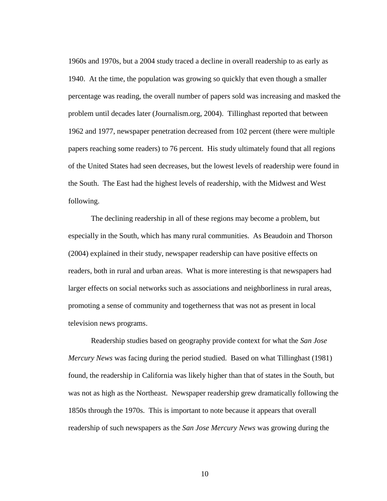1960s and 1970s, but a 2004 study traced a decline in overall readership to as early as 1940. At the time, the population was growing so quickly that even though a smaller percentage was reading, the overall number of papers sold was increasing and masked the problem until decades later (Journalism.org, 2004). Tillinghast reported that between 1962 and 1977, newspaper penetration decreased from 102 percent (there were multiple papers reaching some readers) to 76 percent. His study ultimately found that all regions of the United States had seen decreases, but the lowest levels of readership were found in the South. The East had the highest levels of readership, with the Midwest and West following.

The declining readership in all of these regions may become a problem, but especially in the South, which has many rural communities. As Beaudoin and Thorson (2004) explained in their study, newspaper readership can have positive effects on readers, both in rural and urban areas. What is more interesting is that newspapers had larger effects on social networks such as associations and neighborliness in rural areas, promoting a sense of community and togetherness that was not as present in local television news programs.

Readership studies based on geography provide context for what the *San Jose Mercury News* was facing during the period studied. Based on what Tillinghast (1981) found, the readership in California was likely higher than that of states in the South, but was not as high as the Northeast. Newspaper readership grew dramatically following the 1850s through the 1970s. This is important to note because it appears that overall readership of such newspapers as the *San Jose Mercury News* was growing during the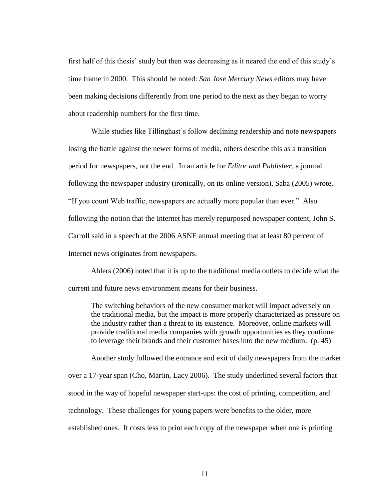first half of this thesis' study but then was decreasing as it neared the end of this study's time frame in 2000. This should be noted: *San Jose Mercury News* editors may have been making decisions differently from one period to the next as they began to worry about readership numbers for the first time.

While studies like Tillinghast's follow declining readership and note newspapers losing the battle against the newer forms of media, others describe this as a transition period for newspapers, not the end. In an article for *Editor and Publisher,* a journal following the newspaper industry (ironically, on its online version), Saba (2005) wrote, ―If you count Web traffic, newspapers are actually more popular than ever.‖ Also following the notion that the Internet has merely repurposed newspaper content, John S. Carroll said in a speech at the 2006 ASNE annual meeting that at least 80 percent of Internet news originates from newspapers.

Ahlers (2006) noted that it is up to the traditional media outlets to decide what the current and future news environment means for their business.

The switching behaviors of the new consumer market will impact adversely on the traditional media, but the impact is more properly characterized as pressure on the industry rather than a threat to its existence. Moreover, online markets will provide traditional media companies with growth opportunities as they continue to leverage their brands and their customer bases into the new medium. (p. 45)

Another study followed the entrance and exit of daily newspapers from the market over a 17-year span (Cho, Martin, Lacy 2006). The study underlined several factors that stood in the way of hopeful newspaper start-ups: the cost of printing, competition, and technology. These challenges for young papers were benefits to the older, more established ones. It costs less to print each copy of the newspaper when one is printing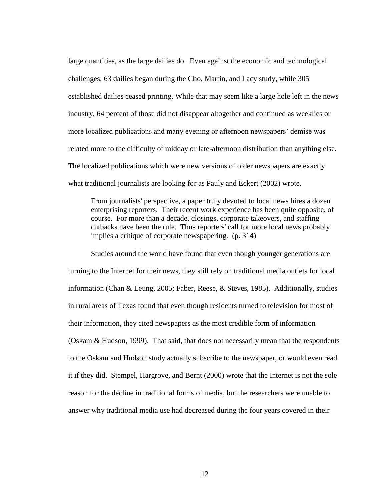large quantities, as the large dailies do. Even against the economic and technological challenges, 63 dailies began during the Cho, Martin, and Lacy study, while 305 established dailies ceased printing. While that may seem like a large hole left in the news industry, 64 percent of those did not disappear altogether and continued as weeklies or more localized publications and many evening or afternoon newspapers' demise was related more to the difficulty of midday or late-afternoon distribution than anything else. The localized publications which were new versions of older newspapers are exactly what traditional journalists are looking for as Pauly and Eckert (2002) wrote.

From journalists' perspective, a paper truly devoted to local news hires a dozen enterprising reporters. Their recent work experience has been quite opposite, of course. For more than a decade, closings, corporate takeovers, and staffing cutbacks have been the rule. Thus reporters' call for more local news probably implies a critique of corporate newspapering. (p. 314)

Studies around the world have found that even though younger generations are turning to the Internet for their news, they still rely on traditional media outlets for local information (Chan & Leung, 2005; Faber, Reese, & Steves, 1985). Additionally, studies in rural areas of Texas found that even though residents turned to television for most of their information, they cited newspapers as the most credible form of information (Oskam & Hudson, 1999). That said, that does not necessarily mean that the respondents to the Oskam and Hudson study actually subscribe to the newspaper, or would even read it if they did. Stempel, Hargrove, and Bernt (2000) wrote that the Internet is not the sole reason for the decline in traditional forms of media, but the researchers were unable to answer why traditional media use had decreased during the four years covered in their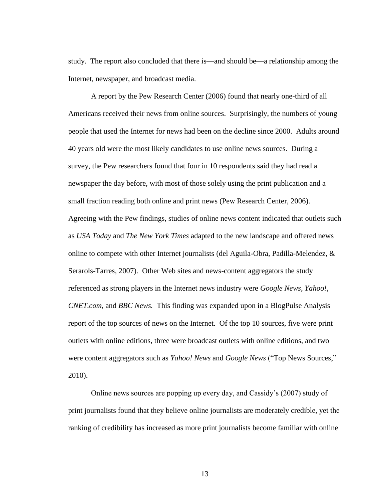study. The report also concluded that there is—and should be—a relationship among the Internet, newspaper, and broadcast media.

A report by the Pew Research Center (2006) found that nearly one-third of all Americans received their news from online sources. Surprisingly, the numbers of young people that used the Internet for news had been on the decline since 2000. Adults around 40 years old were the most likely candidates to use online news sources. During a survey, the Pew researchers found that four in 10 respondents said they had read a newspaper the day before, with most of those solely using the print publication and a small fraction reading both online and print news (Pew Research Center, 2006). Agreeing with the Pew findings, studies of online news content indicated that outlets such as *USA Today* and *The New York Times* adapted to the new landscape and offered news online to compete with other Internet journalists (del Aguila-Obra, Padilla-Melendez, & Serarols-Tarres, 2007). Other Web sites and news-content aggregators the study referenced as strong players in the Internet news industry were *Google News, Yahoo!, CNET.com,* and *BBC News.* This finding was expanded upon in a BlogPulse Analysis report of the top sources of news on the Internet. Of the top 10 sources, five were print outlets with online editions, three were broadcast outlets with online editions, and two were content aggregators such as *Yahoo! News* and *Google News* ("Top News Sources," 2010).

Online news sources are popping up every day, and Cassidy's (2007) study of print journalists found that they believe online journalists are moderately credible, yet the ranking of credibility has increased as more print journalists become familiar with online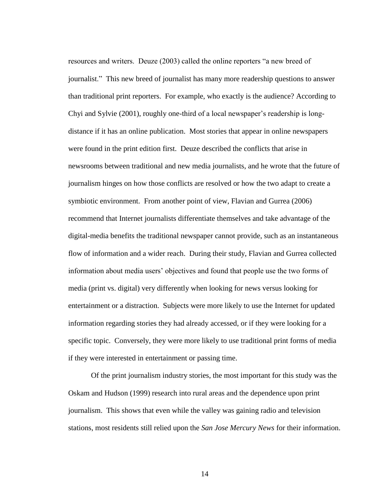resources and writers. Deuze (2003) called the online reporters "a new breed of journalist.‖ This new breed of journalist has many more readership questions to answer than traditional print reporters. For example, who exactly is the audience? According to Chyi and Sylvie (2001), roughly one-third of a local newspaper's readership is longdistance if it has an online publication. Most stories that appear in online newspapers were found in the print edition first. Deuze described the conflicts that arise in newsrooms between traditional and new media journalists, and he wrote that the future of journalism hinges on how those conflicts are resolved or how the two adapt to create a symbiotic environment. From another point of view, Flavian and Gurrea (2006) recommend that Internet journalists differentiate themselves and take advantage of the digital-media benefits the traditional newspaper cannot provide, such as an instantaneous flow of information and a wider reach. During their study, Flavian and Gurrea collected information about media users' objectives and found that people use the two forms of media (print vs. digital) very differently when looking for news versus looking for entertainment or a distraction. Subjects were more likely to use the Internet for updated information regarding stories they had already accessed, or if they were looking for a specific topic. Conversely, they were more likely to use traditional print forms of media if they were interested in entertainment or passing time.

Of the print journalism industry stories, the most important for this study was the Oskam and Hudson (1999) research into rural areas and the dependence upon print journalism. This shows that even while the valley was gaining radio and television stations, most residents still relied upon the *San Jose Mercury News* for their information.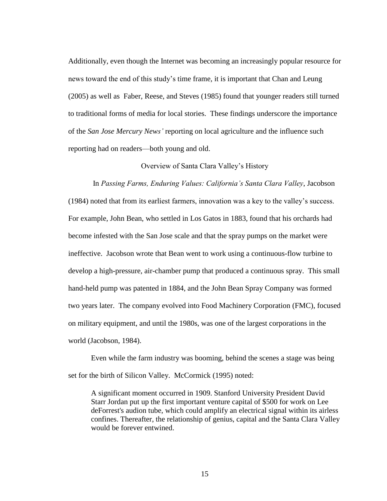Additionally, even though the Internet was becoming an increasingly popular resource for news toward the end of this study's time frame, it is important that Chan and Leung (2005) as well as Faber, Reese, and Steves (1985) found that younger readers still turned to traditional forms of media for local stories. These findings underscore the importance of the *San Jose Mercury News'* reporting on local agriculture and the influence such reporting had on readers—both young and old.

#### Overview of Santa Clara Valley's History

<span id="page-22-0"></span>In *Passing Farms, Enduring Values: California's Santa Clara Valley*, Jacobson (1984) noted that from its earliest farmers, innovation was a key to the valley's success. For example, John Bean, who settled in Los Gatos in 1883, found that his orchards had become infested with the San Jose scale and that the spray pumps on the market were ineffective. Jacobson wrote that Bean went to work using a continuous-flow turbine to develop a high-pressure, air-chamber pump that produced a continuous spray. This small hand-held pump was patented in 1884, and the John Bean Spray Company was formed two years later. The company evolved into Food Machinery Corporation (FMC), focused on military equipment, and until the 1980s, was one of the largest corporations in the world (Jacobson, 1984).

Even while the farm industry was booming, behind the scenes a stage was being set for the birth of Silicon Valley. McCormick (1995) noted:

A significant moment occurred in 1909. Stanford University President David Starr Jordan put up the first important venture capital of \$500 for work on Lee deForrest's audion tube, which could amplify an electrical signal within its airless confines. Thereafter, the relationship of genius, capital and the Santa Clara Valley would be forever entwined.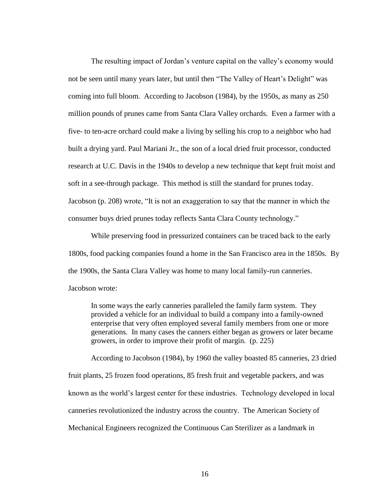The resulting impact of Jordan's venture capital on the valley's economy would not be seen until many years later, but until then "The Valley of Heart's Delight" was coming into full bloom. According to Jacobson (1984), by the 1950s, as many as 250 million pounds of prunes came from Santa Clara Valley orchards. Even a farmer with a five- to ten-acre orchard could make a living by selling his crop to a neighbor who had built a drying yard. Paul Mariani Jr., the son of a local dried fruit processor, conducted research at U.C. Davis in the 1940s to develop a new technique that kept fruit moist and soft in a see-through package. This method is still the standard for prunes today. Jacobson (p. 208) wrote, "It is not an exaggeration to say that the manner in which the consumer buys dried prunes today reflects Santa Clara County technology."

While preserving food in pressurized containers can be traced back to the early 1800s, food packing companies found a home in the San Francisco area in the 1850s. By the 1900s, the Santa Clara Valley was home to many local family-run canneries. Jacobson wrote:

In some ways the early canneries paralleled the family farm system. They provided a vehicle for an individual to build a company into a family-owned enterprise that very often employed several family members from one or more generations. In many cases the canners either began as growers or later became growers, in order to improve their profit of margin. (p. 225)

According to Jacobson (1984), by 1960 the valley boasted 85 canneries, 23 dried fruit plants, 25 frozen food operations, 85 fresh fruit and vegetable packers, and was known as the world's largest center for these industries. Technology developed in local canneries revolutionized the industry across the country. The American Society of Mechanical Engineers recognized the Continuous Can Sterilizer as a landmark in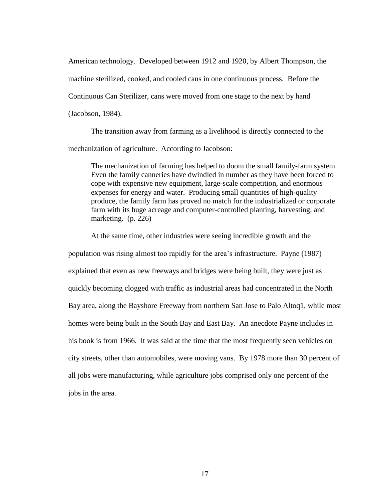American technology. Developed between 1912 and 1920, by Albert Thompson, the machine sterilized, cooked, and cooled cans in one continuous process. Before the Continuous Can Sterilizer, cans were moved from one stage to the next by hand (Jacobson, 1984).

The transition away from farming as a livelihood is directly connected to the mechanization of agriculture. According to Jacobson:

The mechanization of farming has helped to doom the small family-farm system. Even the family canneries have dwindled in number as they have been forced to cope with expensive new equipment, large-scale competition, and enormous expenses for energy and water. Producing small quantities of high-quality produce, the family farm has proved no match for the industrialized or corporate farm with its huge acreage and computer-controlled planting, harvesting, and marketing. (p. 226)

At the same time, other industries were seeing incredible growth and the population was rising almost too rapidly for the area's infrastructure. Payne (1987) explained that even as new freeways and bridges were being built, they were just as quickly becoming clogged with traffic as industrial areas had concentrated in the North Bay area, along the Bayshore Freeway from northern San Jose to Palo Altoq1, while most homes were being built in the South Bay and East Bay. An anecdote Payne includes in his book is from 1966. It was said at the time that the most frequently seen vehicles on city streets, other than automobiles, were moving vans. By 1978 more than 30 percent of all jobs were manufacturing, while agriculture jobs comprised only one percent of the jobs in the area.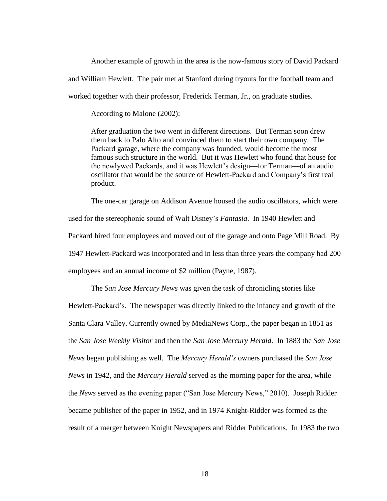Another example of growth in the area is the now-famous story of David Packard and William Hewlett. The pair met at Stanford during tryouts for the football team and worked together with their professor, Frederick Terman, Jr., on graduate studies.

According to Malone (2002):

After graduation the two went in different directions. But Terman soon drew them back to Palo Alto and convinced them to start their own company. The Packard garage, where the company was founded, would become the most famous such structure in the world. But it was Hewlett who found that house for the newlywed Packards, and it was Hewlett's design—for Terman—of an audio oscillator that would be the source of Hewlett-Packard and Company's first real product.

The one-car garage on Addison Avenue housed the audio oscillators, which were used for the stereophonic sound of Walt Disney's *Fantasia*. In 1940 Hewlett and Packard hired four employees and moved out of the garage and onto Page Mill Road. By 1947 Hewlett-Packard was incorporated and in less than three years the company had 200 employees and an annual income of \$2 million (Payne, 1987).

The *San Jose Mercury News* was given the task of chronicling stories like Hewlett-Packard's*.* The newspaper was directly linked to the infancy and growth of the Santa Clara Valley. Currently owned by MediaNews Corp., the paper began in 1851 as the *San Jose Weekly Visitor* and then the *San Jose Mercury Herald*. In 1883 the *San Jose News* began publishing as well. The *Mercury Herald's* owners purchased the *San Jose News* in 1942, and the *Mercury Herald* served as the morning paper for the area, while the *News* served as the evening paper ("San Jose Mercury News," 2010). Joseph Ridder became publisher of the paper in 1952, and in 1974 Knight-Ridder was formed as the result of a merger between Knight Newspapers and Ridder Publications. In 1983 the two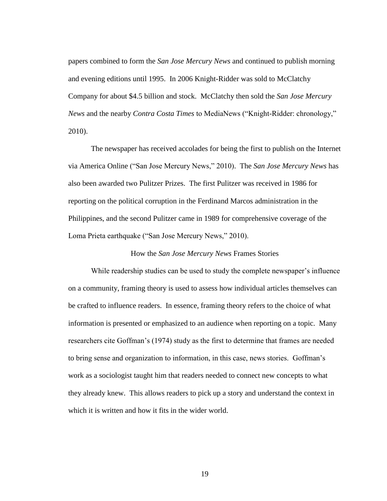papers combined to form the *San Jose Mercury News* and continued to publish morning and evening editions until 1995. In 2006 Knight-Ridder was sold to McClatchy Company for about \$4.5 billion and stock. McClatchy then sold the *San Jose Mercury News* and the nearby *Contra Costa Times* to MediaNews ("Knight-Ridder: chronology," 2010).

The newspaper has received accolades for being the first to publish on the Internet via America Online ("San Jose Mercury News," 2010). The *San Jose Mercury News* has also been awarded two Pulitzer Prizes. The first Pulitzer was received in 1986 for reporting on the political corruption in the Ferdinand Marcos administration in the Philippines, and the second Pulitzer came in 1989 for comprehensive coverage of the Loma Prieta earthquake ("San Jose Mercury News," 2010).

#### How the *San Jose Mercury News* Frames Stories

<span id="page-26-0"></span>While readership studies can be used to study the complete newspaper's influence on a community, framing theory is used to assess how individual articles themselves can be crafted to influence readers. In essence, framing theory refers to the choice of what information is presented or emphasized to an audience when reporting on a topic. Many researchers cite Goffman's (1974) study as the first to determine that frames are needed to bring sense and organization to information, in this case, news stories. Goffman's work as a sociologist taught him that readers needed to connect new concepts to what they already knew. This allows readers to pick up a story and understand the context in which it is written and how it fits in the wider world.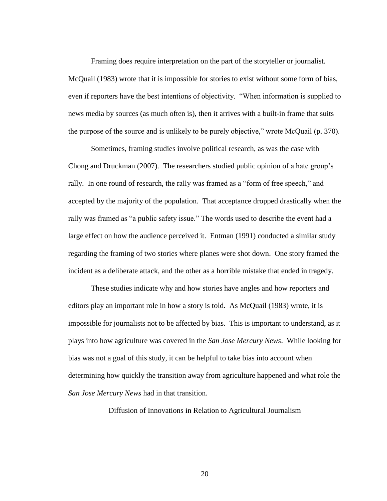Framing does require interpretation on the part of the storyteller or journalist. McQuail (1983) wrote that it is impossible for stories to exist without some form of bias, even if reporters have the best intentions of objectivity. "When information is supplied to news media by sources (as much often is), then it arrives with a built-in frame that suits the purpose of the source and is unlikely to be purely objective," wrote McQuail (p. 370).

Sometimes, framing studies involve political research, as was the case with Chong and Druckman (2007). The researchers studied public opinion of a hate group's rally. In one round of research, the rally was framed as a "form of free speech," and accepted by the majority of the population. That acceptance dropped drastically when the rally was framed as "a public safety issue." The words used to describe the event had a large effect on how the audience perceived it. Entman (1991) conducted a similar study regarding the framing of two stories where planes were shot down. One story framed the incident as a deliberate attack, and the other as a horrible mistake that ended in tragedy.

These studies indicate why and how stories have angles and how reporters and editors play an important role in how a story is told. As McQuail (1983) wrote, it is impossible for journalists not to be affected by bias. This is important to understand, as it plays into how agriculture was covered in the *San Jose Mercury News*. While looking for bias was not a goal of this study, it can be helpful to take bias into account when determining how quickly the transition away from agriculture happened and what role the *San Jose Mercury News* had in that transition.

<span id="page-27-0"></span>Diffusion of Innovations in Relation to Agricultural Journalism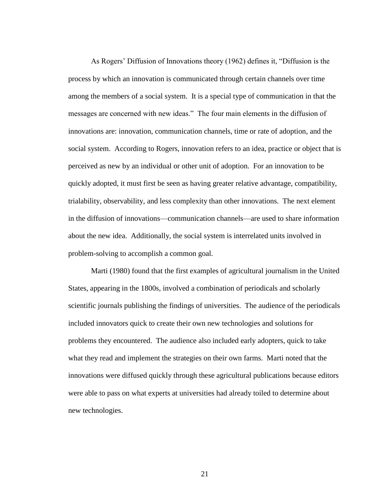As Rogers' Diffusion of Innovations theory (1962) defines it, "Diffusion is the process by which an innovation is communicated through certain channels over time among the members of a social system. It is a special type of communication in that the messages are concerned with new ideas." The four main elements in the diffusion of innovations are: innovation, communication channels, time or rate of adoption, and the social system. According to Rogers, innovation refers to an idea, practice or object that is perceived as new by an individual or other unit of adoption. For an innovation to be quickly adopted, it must first be seen as having greater relative advantage, compatibility, trialability, observability, and less complexity than other innovations. The next element in the diffusion of innovations—communication channels—are used to share information about the new idea. Additionally, the social system is interrelated units involved in problem-solving to accomplish a common goal.

Marti (1980) found that the first examples of agricultural journalism in the United States, appearing in the 1800s, involved a combination of periodicals and scholarly scientific journals publishing the findings of universities. The audience of the periodicals included innovators quick to create their own new technologies and solutions for problems they encountered. The audience also included early adopters, quick to take what they read and implement the strategies on their own farms. Marti noted that the innovations were diffused quickly through these agricultural publications because editors were able to pass on what experts at universities had already toiled to determine about new technologies.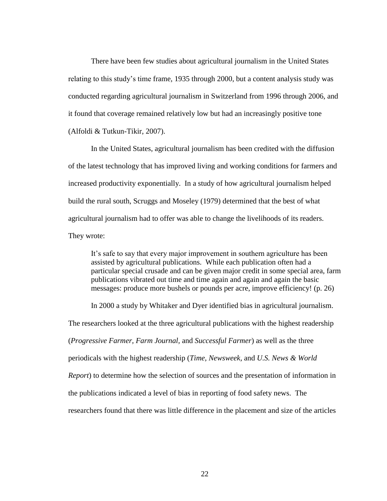There have been few studies about agricultural journalism in the United States relating to this study's time frame, 1935 through 2000, but a content analysis study was conducted regarding agricultural journalism in Switzerland from 1996 through 2006, and it found that coverage remained relatively low but had an increasingly positive tone (Alfoldi & Tutkun-Tikir, 2007).

In the United States, agricultural journalism has been credited with the diffusion of the latest technology that has improved living and working conditions for farmers and increased productivity exponentially. In a study of how agricultural journalism helped build the rural south, Scruggs and Moseley (1979) determined that the best of what agricultural journalism had to offer was able to change the livelihoods of its readers. They wrote:

It's safe to say that every major improvement in southern agriculture has been assisted by agricultural publications. While each publication often had a particular special crusade and can be given major credit in some special area, farm publications vibrated out time and time again and again and again the basic messages: produce more bushels or pounds per acre, improve efficiency! (p. 26)

In 2000 a study by Whitaker and Dyer identified bias in agricultural journalism. The researchers looked at the three agricultural publications with the highest readership (*Progressive Farmer, Farm Journal,* and *Successful Farmer*) as well as the three periodicals with the highest readership (*Time, Newsweek,* and *U.S. News & World Report*) to determine how the selection of sources and the presentation of information in the publications indicated a level of bias in reporting of food safety news. The researchers found that there was little difference in the placement and size of the articles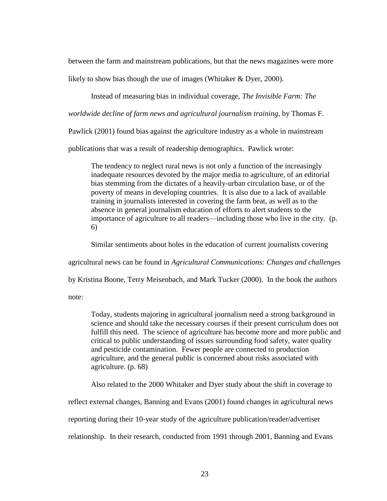between the farm and mainstream publications, but that the news magazines were more likely to show bias though the use of images (Whitaker & Dyer, 2000).

Instead of measuring bias in individual coverage, *The Invisible Farm: The* 

*worldwide decline of farm news and agricultural journalism training*, by Thomas F.

Pawlick (2001) found bias against the agriculture industry as a whole in mainstream

publications that was a result of readership demographics. Pawlick wrote:

The tendency to neglect rural news is not only a function of the increasingly inadequate resources devoted by the major media to agriculture, of an editorial bias stemming from the dictates of a heavily-urban circulation base, or of the poverty of means in developing countries. It is also due to a lack of available training in journalists interested in covering the farm beat, as well as to the absence in general journalism education of efforts to alert students to the importance of agriculture to all readers—including those who live in the city. (p. 6)

Similar sentiments about holes in the education of current journalists covering

agricultural news can be found in *Agricultural Communications: Changes and challenges*

by Kristina Boone, Terry Meisenbach, and Mark Tucker (2000). In the book the authors

note:

Today, students majoring in agricultural journalism need a strong background in science and should take the necessary courses if their present curriculum does not fulfill this need. The science of agriculture has become more and more public and critical to public understanding of issues surrounding food safety, water quality and pesticide contamination. Fewer people are connected to production agriculture, and the general public is concerned about risks associated with agriculture. (p. 68)

Also related to the 2000 Whitaker and Dyer study about the shift in coverage to

reflect external changes, Banning and Evans (2001) found changes in agricultural news

reporting during their 10-year study of the agriculture publication/reader/advertiser

relationship. In their research, conducted from 1991 through 2001, Banning and Evans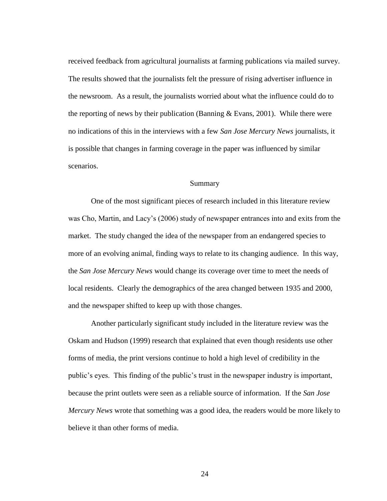received feedback from agricultural journalists at farming publications via mailed survey. The results showed that the journalists felt the pressure of rising advertiser influence in the newsroom. As a result, the journalists worried about what the influence could do to the reporting of news by their publication (Banning  $& Evans, 2001$ ). While there were no indications of this in the interviews with a few *San Jose Mercury News* journalists, it is possible that changes in farming coverage in the paper was influenced by similar scenarios.

#### Summary

<span id="page-31-0"></span>One of the most significant pieces of research included in this literature review was Cho, Martin, and Lacy's (2006) study of newspaper entrances into and exits from the market. The study changed the idea of the newspaper from an endangered species to more of an evolving animal, finding ways to relate to its changing audience. In this way, the *San Jose Mercury News* would change its coverage over time to meet the needs of local residents. Clearly the demographics of the area changed between 1935 and 2000, and the newspaper shifted to keep up with those changes.

Another particularly significant study included in the literature review was the Oskam and Hudson (1999) research that explained that even though residents use other forms of media, the print versions continue to hold a high level of credibility in the public's eyes. This finding of the public's trust in the newspaper industry is important, because the print outlets were seen as a reliable source of information. If the *San Jose Mercury News* wrote that something was a good idea, the readers would be more likely to believe it than other forms of media.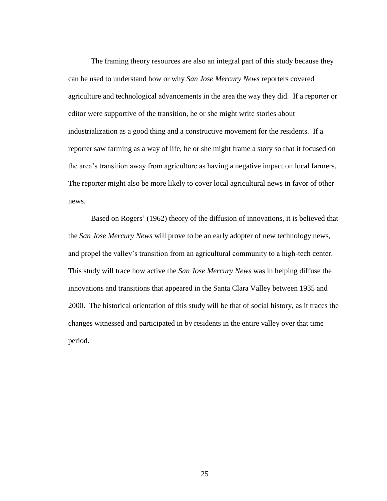The framing theory resources are also an integral part of this study because they can be used to understand how or why *San Jose Mercury News* reporters covered agriculture and technological advancements in the area the way they did. If a reporter or editor were supportive of the transition, he or she might write stories about industrialization as a good thing and a constructive movement for the residents. If a reporter saw farming as a way of life, he or she might frame a story so that it focused on the area's transition away from agriculture as having a negative impact on local farmers. The reporter might also be more likely to cover local agricultural news in favor of other news.

Based on Rogers' (1962) theory of the diffusion of innovations, it is believed that the *San Jose Mercury News* will prove to be an early adopter of new technology news, and propel the valley's transition from an agricultural community to a high-tech center. This study will trace how active the *San Jose Mercury News* was in helping diffuse the innovations and transitions that appeared in the Santa Clara Valley between 1935 and 2000. The historical orientation of this study will be that of social history, as it traces the changes witnessed and participated in by residents in the entire valley over that time period.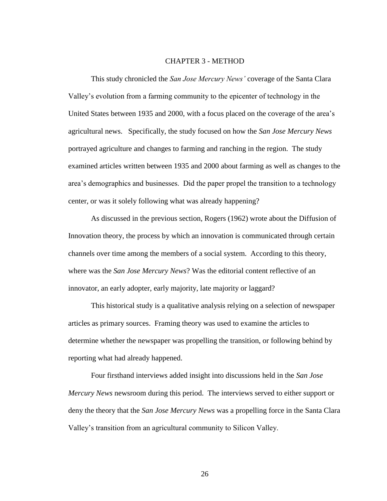#### CHAPTER 3 - METHOD

<span id="page-33-0"></span>This study chronicled the *San Jose Mercury News'* coverage of the Santa Clara Valley's evolution from a farming community to the epicenter of technology in the United States between 1935 and 2000, with a focus placed on the coverage of the area's agricultural news. Specifically, the study focused on how the *San Jose Mercury News*  portrayed agriculture and changes to farming and ranching in the region. The study examined articles written between 1935 and 2000 about farming as well as changes to the area's demographics and businesses. Did the paper propel the transition to a technology center, or was it solely following what was already happening?

As discussed in the previous section, Rogers (1962) wrote about the Diffusion of Innovation theory, the process by which an innovation is communicated through certain channels over time among the members of a social system. According to this theory, where was the *San Jose Mercury News*? Was the editorial content reflective of an innovator, an early adopter, early majority, late majority or laggard?

This historical study is a qualitative analysis relying on a selection of newspaper articles as primary sources. Framing theory was used to examine the articles to determine whether the newspaper was propelling the transition, or following behind by reporting what had already happened.

Four firsthand interviews added insight into discussions held in the *San Jose Mercury News* newsroom during this period. The interviews served to either support or deny the theory that the *San Jose Mercury News* was a propelling force in the Santa Clara Valley's transition from an agricultural community to Silicon Valley.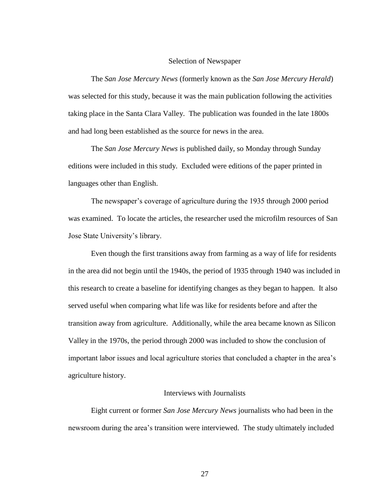#### Selection of Newspaper

<span id="page-34-0"></span>The *San Jose Mercury News* (formerly known as the *San Jose Mercury Herald*) was selected for this study, because it was the main publication following the activities taking place in the Santa Clara Valley. The publication was founded in the late 1800s and had long been established as the source for news in the area.

The *San Jose Mercury News* is published daily, so Monday through Sunday editions were included in this study. Excluded were editions of the paper printed in languages other than English.

The newspaper's coverage of agriculture during the 1935 through 2000 period was examined. To locate the articles, the researcher used the microfilm resources of San Jose State University's library.

Even though the first transitions away from farming as a way of life for residents in the area did not begin until the 1940s, the period of 1935 through 1940 was included in this research to create a baseline for identifying changes as they began to happen. It also served useful when comparing what life was like for residents before and after the transition away from agriculture. Additionally, while the area became known as Silicon Valley in the 1970s, the period through 2000 was included to show the conclusion of important labor issues and local agriculture stories that concluded a chapter in the area's agriculture history.

### Interviews with Journalists

<span id="page-34-1"></span>Eight current or former *San Jose Mercury News* journalists who had been in the newsroom during the area's transition were interviewed. The study ultimately included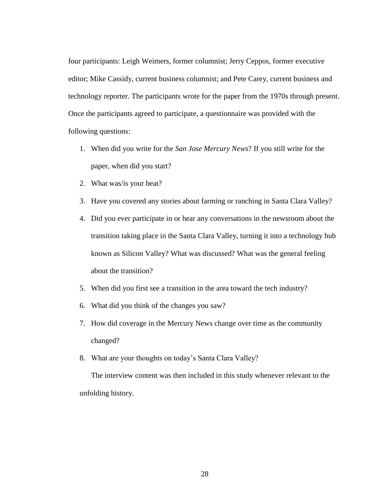four participants: Leigh Weimers, former columnist; Jerry Ceppos, former executive editor; Mike Cassidy, current business columnist; and Pete Carey, current business and technology reporter. The participants wrote for the paper from the 1970s through present. Once the participants agreed to participate, a questionnaire was provided with the following questions:

- 1. When did you write for the *San Jose Mercury News*? If you still write for the paper, when did you start?
- 2. What was/is your beat?
- 3. Have you covered any stories about farming or ranching in Santa Clara Valley?
- 4. Did you ever participate in or hear any conversations in the newsroom about the transition taking place in the Santa Clara Valley, turning it into a technology hub known as Silicon Valley? What was discussed? What was the general feeling about the transition?
- 5. When did you first see a transition in the area toward the tech industry?
- 6. What did you think of the changes you saw?
- 7. How did coverage in the Mercury News change over time as the community changed?
- 8. What are your thoughts on today's Santa Clara Valley?

The interview content was then included in this study whenever relevant to the unfolding history.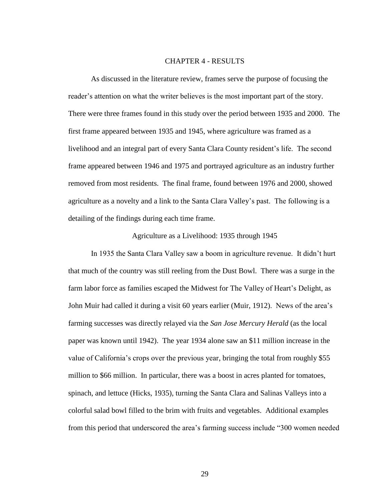### CHAPTER 4 - RESULTS

As discussed in the literature review, frames serve the purpose of focusing the reader's attention on what the writer believes is the most important part of the story. There were three frames found in this study over the period between 1935 and 2000. The first frame appeared between 1935 and 1945, where agriculture was framed as a livelihood and an integral part of every Santa Clara County resident's life. The second frame appeared between 1946 and 1975 and portrayed agriculture as an industry further removed from most residents. The final frame, found between 1976 and 2000, showed agriculture as a novelty and a link to the Santa Clara Valley's past. The following is a detailing of the findings during each time frame.

#### Agriculture as a Livelihood: 1935 through 1945

In 1935 the Santa Clara Valley saw a boom in agriculture revenue. It didn't hurt that much of the country was still reeling from the Dust Bowl. There was a surge in the farm labor force as families escaped the Midwest for The Valley of Heart's Delight, as John Muir had called it during a visit 60 years earlier (Muir, 1912). News of the area's farming successes was directly relayed via the *San Jose Mercury Herald* (as the local paper was known until 1942). The year 1934 alone saw an \$11 million increase in the value of California's crops over the previous year, bringing the total from roughly \$55 million to \$66 million. In particular, there was a boost in acres planted for tomatoes, spinach, and lettuce (Hicks, 1935), turning the Santa Clara and Salinas Valleys into a colorful salad bowl filled to the brim with fruits and vegetables. Additional examples from this period that underscored the area's farming success include "300 women needed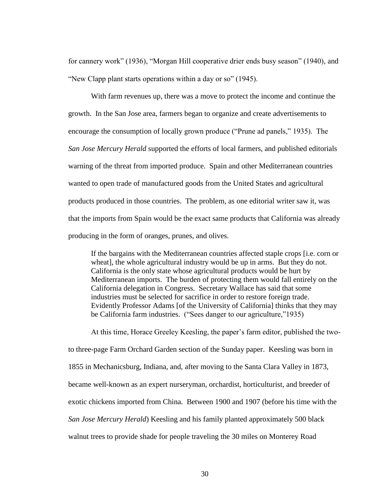for cannery work" (1936), "Morgan Hill cooperative drier ends busy season" (1940), and "New Clapp plant starts operations within a day or so" (1945).

With farm revenues up, there was a move to protect the income and continue the growth. In the San Jose area, farmers began to organize and create advertisements to encourage the consumption of locally grown produce ("Prune ad panels," 1935). The *San Jose Mercury Herald* supported the efforts of local farmers, and published editorials warning of the threat from imported produce. Spain and other Mediterranean countries wanted to open trade of manufactured goods from the United States and agricultural products produced in those countries. The problem, as one editorial writer saw it, was that the imports from Spain would be the exact same products that California was already producing in the form of oranges, prunes, and olives.

If the bargains with the Mediterranean countries affected staple crops [i.e. corn or wheat], the whole agricultural industry would be up in arms. But they do not. California is the only state whose agricultural products would be hurt by Mediterranean imports. The burden of protecting them would fall entirely on the California delegation in Congress. Secretary Wallace has said that some industries must be selected for sacrifice in order to restore foreign trade. Evidently Professor Adams [of the University of California] thinks that they may be California farm industries. ("Sees danger to our agriculture,"1935)

At this time, Horace Greeley Keesling, the paper's farm editor, published the twoto three-page Farm Orchard Garden section of the Sunday paper. Keesling was born in 1855 in Mechanicsburg, Indiana, and, after moving to the Santa Clara Valley in 1873, became well-known as an expert nurseryman, orchardist, horticulturist, and breeder of exotic chickens imported from China. Between 1900 and 1907 (before his time with the *San Jose Mercury Herald*) Keesling and his family planted approximately 500 black walnut trees to provide shade for people traveling the 30 miles on Monterey Road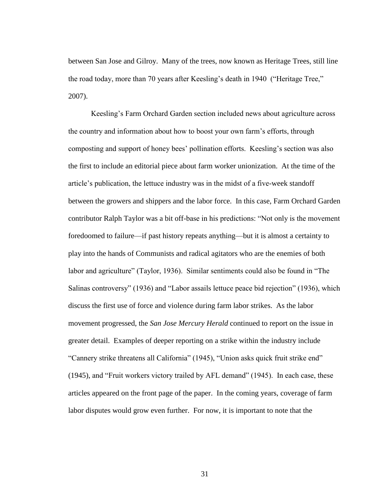between San Jose and Gilroy. Many of the trees, now known as Heritage Trees, still line the road today, more than 70 years after Keesling's death in 1940 ("Heritage Tree," 2007).

Keesling's Farm Orchard Garden section included news about agriculture across the country and information about how to boost your own farm's efforts, through composting and support of honey bees' pollination efforts. Keesling's section was also the first to include an editorial piece about farm worker unionization. At the time of the article's publication, the lettuce industry was in the midst of a five-week standoff between the growers and shippers and the labor force. In this case, Farm Orchard Garden contributor Ralph Taylor was a bit of f-base in his predictions: "Not only is the movement foredoomed to failure—if past history repeats anything—but it is almost a certainty to play into the hands of Communists and radical agitators who are the enemies of both labor and agriculture" (Taylor, 1936). Similar sentiments could also be found in "The Salinas controversy" (1936) and "Labor assails lettuce peace bid rejection" (1936), which discuss the first use of force and violence during farm labor strikes. As the labor movement progressed, the *San Jose Mercury Herald* continued to report on the issue in greater detail. Examples of deeper reporting on a strike within the industry include "Cannery strike threatens all California" (1945), "Union asks quick fruit strike end"  $(1945)$ , and "Fruit workers victory trailed by AFL demand"  $(1945)$ . In each case, these articles appeared on the front page of the paper. In the coming years, coverage of farm labor disputes would grow even further. For now, it is important to note that the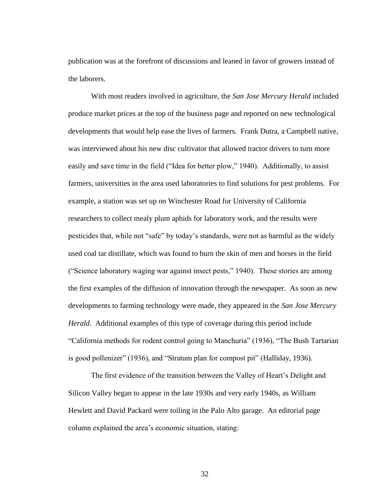publication was at the forefront of discussions and leaned in favor of growers instead of the laborers.

With most readers involved in agriculture, the *San Jose Mercury Herald* included produce market prices at the top of the business page and reported on new technological developments that would help ease the lives of farmers. Frank Dutra, a Campbell native, was interviewed about his new disc cultivator that allowed tractor drivers to turn more easily and save time in the field ("Idea for better plow," 1940). Additionally, to assist farmers, universities in the area used laboratories to find solutions for pest problems. For example, a station was set up on Winchester Road for University of California researchers to collect mealy plum aphids for laboratory work, and the results were pesticides that, while not "safe" by today's standards, were not as harmful as the widely used coal tar distillate, which was found to burn the skin of men and horses in the field ("Science laboratory waging war against insect pests," 1940). These stories are among the first examples of the diffusion of innovation through the newspaper. As soon as new developments to farming technology were made, they appeared in the *San Jose Mercury Herald*. Additional examples of this type of coverage during this period include "California methods for rodent control going to Manchuria" (1936), "The Bush Tartarian is good pollenizer" (1936), and "Stratum plan for compost pit" (Halliday, 1936).

The first evidence of the transition between the Valley of Heart's Delight and Silicon Valley began to appear in the late 1930s and very early 1940s, as William Hewlett and David Packard were toiling in the Palo Alto garage. An editorial page column explained the area's economic situation, stating: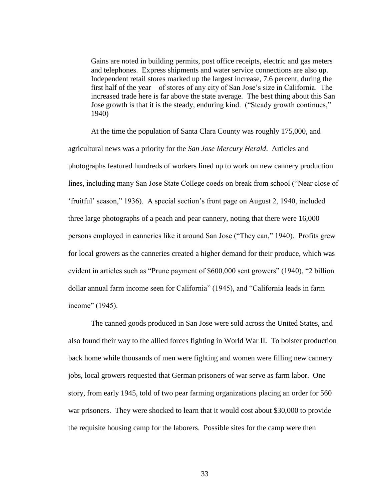Gains are noted in building permits, post office receipts, electric and gas meters and telephones. Express shipments and water service connections are also up. Independent retail stores marked up the largest increase, 7.6 percent, during the first half of the year—of stores of any city of San Jose's size in California. The increased trade here is far above the state average. The best thing about this San Jose growth is that it is the steady, enduring kind. ("Steady growth continues," 1940)

At the time the population of Santa Clara County was roughly 175,000, and agricultural news was a priority for the *San Jose Mercury Herald*. Articles and photographs featured hundreds of workers lined up to work on new cannery production lines, including many San Jose State College coeds on break from school ("Near close of ‗fruitful' season,‖ 1936). A special section's front page on August 2, 1940, included three large photographs of a peach and pear cannery, noting that there were 16,000 persons employed in canneries like it around San Jose ("They can," 1940). Profits grew for local growers as the canneries created a higher demand for their produce, which was evident in articles such as "Prune payment of \$600,000 sent growers" (1940), "2 billion dollar annual farm income seen for California" (1945), and "California leads in farm income" (1945).

The canned goods produced in San Jose were sold across the United States, and also found their way to the allied forces fighting in World War II. To bolster production back home while thousands of men were fighting and women were filling new cannery jobs, local growers requested that German prisoners of war serve as farm labor. One story, from early 1945, told of two pear farming organizations placing an order for 560 war prisoners. They were shocked to learn that it would cost about \$30,000 to provide the requisite housing camp for the laborers. Possible sites for the camp were then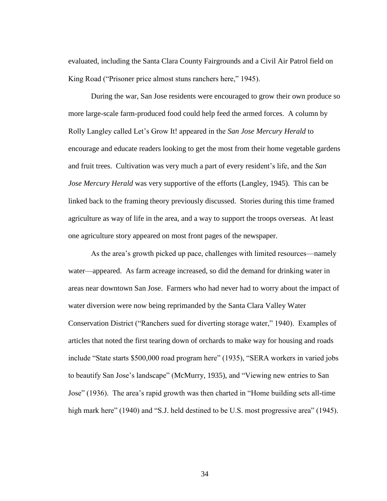evaluated, including the Santa Clara County Fairgrounds and a Civil Air Patrol field on King Road ("Prisoner price almost stuns ranchers here," 1945).

During the war, San Jose residents were encouraged to grow their own produce so more large-scale farm-produced food could help feed the armed forces. A column by Rolly Langley called Let's Grow It! appeared in the *San Jose Mercury Herald* to encourage and educate readers looking to get the most from their home vegetable gardens and fruit trees. Cultivation was very much a part of every resident's life, and the *San Jose Mercury Herald* was very supportive of the efforts (Langley, 1945). This can be linked back to the framing theory previously discussed. Stories during this time framed agriculture as way of life in the area, and a way to support the troops overseas. At least one agriculture story appeared on most front pages of the newspaper.

As the area's growth picked up pace, challenges with limited resources—namely water—appeared. As farm acreage increased, so did the demand for drinking water in areas near downtown San Jose. Farmers who had never had to worry about the impact of water diversion were now being reprimanded by the Santa Clara Valley Water Conservation District ("Ranchers sued for diverting storage water," 1940). Examples of articles that noted the first tearing down of orchards to make way for housing and roads include "State starts \$500,000 road program here" (1935), "SERA workers in varied jobs to beautify San Jose's landscape" (McMurry, 1935), and "Viewing new entries to San Jose" (1936). The area's rapid growth was then charted in "Home building sets all-time high mark here" (1940) and "S.J. held destined to be U.S. most progressive area" (1945).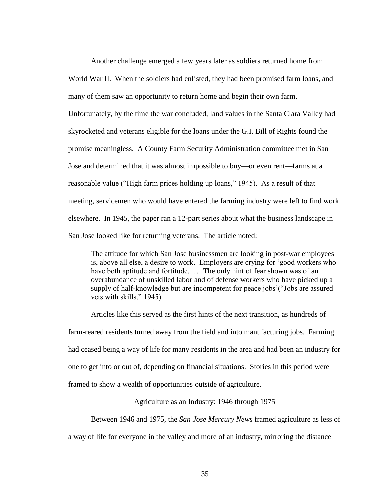Another challenge emerged a few years later as soldiers returned home from World War II. When the soldiers had enlisted, they had been promised farm loans, and many of them saw an opportunity to return home and begin their own farm. Unfortunately, by the time the war concluded, land values in the Santa Clara Valley had skyrocketed and veterans eligible for the loans under the G.I. Bill of Rights found the promise meaningless. A County Farm Security Administration committee met in San Jose and determined that it was almost impossible to buy—or even rent—farms at a reasonable value ("High farm prices holding up loans," 1945). As a result of that meeting, servicemen who would have entered the farming industry were left to find work elsewhere. In 1945, the paper ran a 12-part series about what the business landscape in San Jose looked like for returning veterans. The article noted:

The attitude for which San Jose businessmen are looking in post-war employees is, above all else, a desire to work. Employers are crying for ‗good workers who have both aptitude and fortitude. ... The only hint of fear shown was of an overabundance of unskilled labor and of defense workers who have picked up a supply of half-knowledge but are incompetent for peace jobs'("Jobs are assured vets with skills," 1945).

Articles like this served as the first hints of the next transition, as hundreds of farm-reared residents turned away from the field and into manufacturing jobs. Farming had ceased being a way of life for many residents in the area and had been an industry for one to get into or out of, depending on financial situations. Stories in this period were framed to show a wealth of opportunities outside of agriculture.

Agriculture as an Industry: 1946 through 1975

Between 1946 and 1975, the *San Jose Mercury News* framed agriculture as less of

a way of life for everyone in the valley and more of an industry, mirroring the distance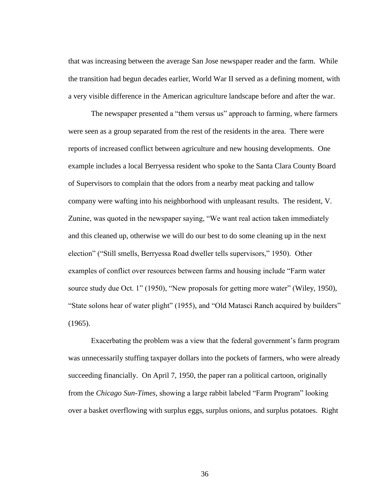that was increasing between the average San Jose newspaper reader and the farm. While the transition had begun decades earlier, World War II served as a defining moment, with a very visible difference in the American agriculture landscape before and after the war.

The newspaper presented a "them versus us" approach to farming, where farmers were seen as a group separated from the rest of the residents in the area. There were reports of increased conflict between agriculture and new housing developments. One example includes a local Berryessa resident who spoke to the Santa Clara County Board of Supervisors to complain that the odors from a nearby meat packing and tallow company were wafting into his neighborhood with unpleasant results. The resident, V. Zunine, was quoted in the newspaper saying, "We want real action taken immediately and this cleaned up, otherwise we will do our best to do some cleaning up in the next election" ("Still smells, Berryessa Road dweller tells supervisors," 1950). Other examples of conflict over resources between farms and housing include "Farm water source study due Oct. 1" (1950), "New proposals for getting more water" (Wiley, 1950), "State solons hear of water plight" (1955), and "Old Matasci Ranch acquired by builders" (1965).

Exacerbating the problem was a view that the federal government's farm program was unnecessarily stuffing taxpayer dollars into the pockets of farmers, who were already succeeding financially. On April 7, 1950, the paper ran a political cartoon, originally from the *Chicago Sun-Times*, showing a large rabbit labeled "Farm Program" looking over a basket overflowing with surplus eggs, surplus onions, and surplus potatoes. Right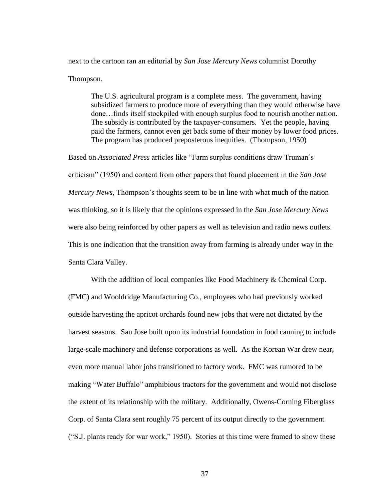next to the cartoon ran an editorial by *San Jose Mercury News* columnist Dorothy Thompson.

The U.S. agricultural program is a complete mess. The government, having subsidized farmers to produce more of everything than they would otherwise have done…finds itself stockpiled with enough surplus food to nourish another nation. The subsidy is contributed by the taxpayer-consumers. Yet the people, having paid the farmers, cannot even get back some of their money by lower food prices. The program has produced preposterous inequities. (Thompson, 1950)

Based on *Associated Press* articles like "Farm surplus conditions draw Truman's criticism‖ (1950) and content from other papers that found placement in the *San Jose Mercury News*, Thompson's thoughts seem to be in line with what much of the nation was thinking, so it is likely that the opinions expressed in the *San Jose Mercury News* were also being reinforced by other papers as well as television and radio news outlets. This is one indication that the transition away from farming is already under way in the Santa Clara Valley.

With the addition of local companies like Food Machinery & Chemical Corp. (FMC) and Wooldridge Manufacturing Co., employees who had previously worked outside harvesting the apricot orchards found new jobs that were not dictated by the harvest seasons. San Jose built upon its industrial foundation in food canning to include large-scale machinery and defense corporations as well. As the Korean War drew near, even more manual labor jobs transitioned to factory work. FMC was rumored to be making "Water Buffalo" amphibious tractors for the government and would not disclose the extent of its relationship with the military. Additionally, Owens-Corning Fiberglass Corp. of Santa Clara sent roughly 75 percent of its output directly to the government ("S.J. plants ready for war work," 1950). Stories at this time were framed to show these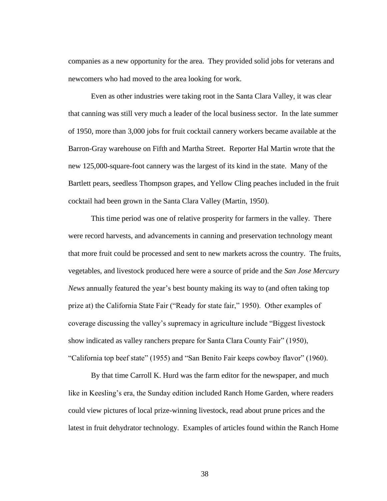companies as a new opportunity for the area. They provided solid jobs for veterans and newcomers who had moved to the area looking for work.

Even as other industries were taking root in the Santa Clara Valley, it was clear that canning was still very much a leader of the local business sector. In the late summer of 1950, more than 3,000 jobs for fruit cocktail cannery workers became available at the Barron-Gray warehouse on Fifth and Martha Street. Reporter Hal Martin wrote that the new 125,000-square-foot cannery was the largest of its kind in the state. Many of the Bartlett pears, seedless Thompson grapes, and Yellow Cling peaches included in the fruit cocktail had been grown in the Santa Clara Valley (Martin, 1950).

This time period was one of relative prosperity for farmers in the valley. There were record harvests, and advancements in canning and preservation technology meant that more fruit could be processed and sent to new markets across the country. The fruits, vegetables, and livestock produced here were a source of pride and the *San Jose Mercury News* annually featured the year's best bounty making its way to (and often taking top prize at) the California State Fair ("Ready for state fair," 1950). Other examples of coverage discussing the valley's supremacy in agriculture include "Biggest livestock" show indicated as valley ranchers prepare for Santa Clara County Fair" (1950), "California top beef state" (1955) and "San Benito Fair keeps cowboy flavor" (1960).

By that time Carroll K. Hurd was the farm editor for the newspaper, and much like in Keesling's era, the Sunday edition included Ranch Home Garden, where readers could view pictures of local prize-winning livestock, read about prune prices and the latest in fruit dehydrator technology. Examples of articles found within the Ranch Home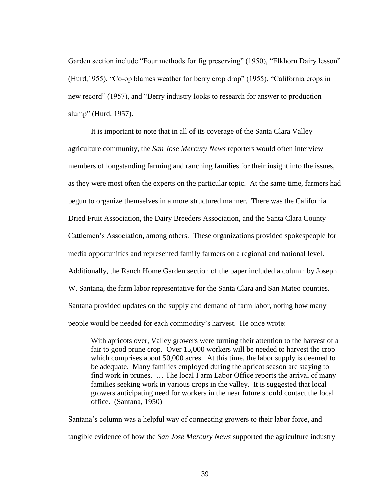Garden section include "Four methods for fig preserving" (1950), "Elkhorn Dairy lesson" (Hurd, 1955), "Co-op blames weather for berry crop drop" (1955), "California crops in new record" (1957), and "Berry industry looks to research for answer to production slump" (Hurd, 1957).

It is important to note that in all of its coverage of the Santa Clara Valley agriculture community, the *San Jose Mercury News* reporters would often interview members of longstanding farming and ranching families for their insight into the issues, as they were most often the experts on the particular topic. At the same time, farmers had begun to organize themselves in a more structured manner. There was the California Dried Fruit Association, the Dairy Breeders Association, and the Santa Clara County Cattlemen's Association, among others. These organizations provided spokespeople for media opportunities and represented family farmers on a regional and national level. Additionally, the Ranch Home Garden section of the paper included a column by Joseph W. Santana, the farm labor representative for the Santa Clara and San Mateo counties. Santana provided updates on the supply and demand of farm labor, noting how many people would be needed for each commodity's harvest. He once wrote:

With apricots over, Valley growers were turning their attention to the harvest of a fair to good prune crop. Over 15,000 workers will be needed to harvest the crop which comprises about 50,000 acres. At this time, the labor supply is deemed to be adequate. Many families employed during the apricot season are staying to find work in prunes. … The local Farm Labor Office reports the arrival of many families seeking work in various crops in the valley. It is suggested that local growers anticipating need for workers in the near future should contact the local office. (Santana, 1950)

Santana's column was a helpful way of connecting growers to their labor force, and tangible evidence of how the *San Jose Mercury News* supported the agriculture industry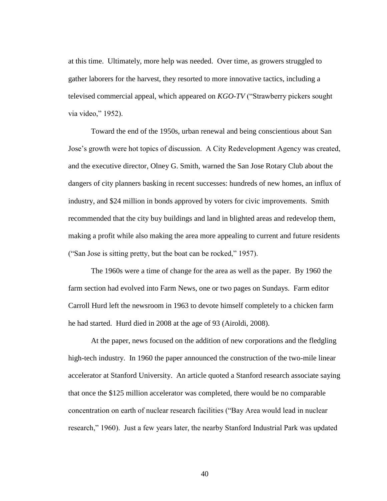at this time. Ultimately, more help was needed. Over time, as growers struggled to gather laborers for the harvest, they resorted to more innovative tactics, including a televised commercial appeal, which appeared on *KGO-TV* ("Strawberry pickers sought via video," 1952).

Toward the end of the 1950s, urban renewal and being conscientious about San Jose's growth were hot topics of discussion. A City Redevelopment Agency was created, and the executive director, Olney G. Smith, warned the San Jose Rotary Club about the dangers of city planners basking in recent successes: hundreds of new homes, an influx of industry, and \$24 million in bonds approved by voters for civic improvements. Smith recommended that the city buy buildings and land in blighted areas and redevelop them, making a profit while also making the area more appealing to current and future residents ("San Jose is sitting pretty, but the boat can be rocked," 1957).

The 1960s were a time of change for the area as well as the paper. By 1960 the farm section had evolved into Farm News, one or two pages on Sundays. Farm editor Carroll Hurd left the newsroom in 1963 to devote himself completely to a chicken farm he had started. Hurd died in 2008 at the age of 93 (Airoldi, 2008).

At the paper, news focused on the addition of new corporations and the fledgling high-tech industry. In 1960 the paper announced the construction of the two-mile linear accelerator at Stanford University. An article quoted a Stanford research associate saying that once the \$125 million accelerator was completed, there would be no comparable concentration on earth of nuclear research facilities ("Bay Area would lead in nuclear research," 1960). Just a few years later, the nearby Stanford Industrial Park was updated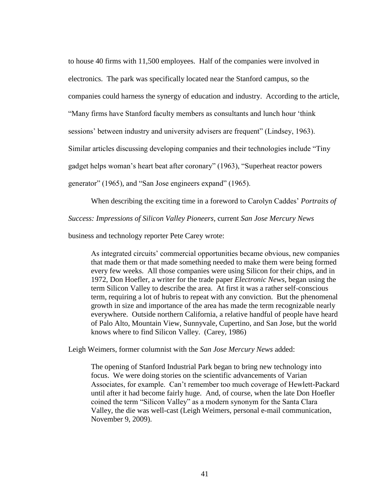to house 40 firms with 11,500 employees. Half of the companies were involved in electronics. The park was specifically located near the Stanford campus, so the companies could harness the synergy of education and industry. According to the article, "Many firms have Stanford faculty members as consultants and lunch hour 'think sessions' between industry and university advisers are frequent" (Lindsey, 1963). Similar articles discussing developing companies and their technologies include "Tiny" gadget helps woman's heart beat after coronary" (1963), "Superheat reactor powers generator" (1965), and "San Jose engineers expand" (1965).

When describing the exciting time in a foreword to Carolyn Caddes' *Portraits of* 

*Success: Impressions of Silicon Valley Pioneers*, current *San Jose Mercury News*

business and technology reporter Pete Carey wrote:

As integrated circuits' commercial opportunities became obvious, new companies that made them or that made something needed to make them were being formed every few weeks. All those companies were using Silicon for their chips, and in 1972, Don Hoefler, a writer for the trade paper *Electronic News*, began using the term Silicon Valley to describe the area. At first it was a rather self-conscious term, requiring a lot of hubris to repeat with any conviction. But the phenomenal growth in size and importance of the area has made the term recognizable nearly everywhere. Outside northern California, a relative handful of people have heard of Palo Alto, Mountain View, Sunnyvale, Cupertino, and San Jose, but the world knows where to find Silicon Valley. (Carey, 1986)

Leigh Weimers, former columnist with the *San Jose Mercury News* added:

The opening of Stanford Industrial Park began to bring new technology into focus. We were doing stories on the scientific advancements of Varian Associates, for example. Can't remember too much coverage of Hewlett-Packard until after it had become fairly huge. And, of course, when the late Don Hoefler coined the term "Silicon Valley" as a modern synonym for the Santa Clara Valley, the die was well-cast (Leigh Weimers, personal e-mail communication, November 9, 2009).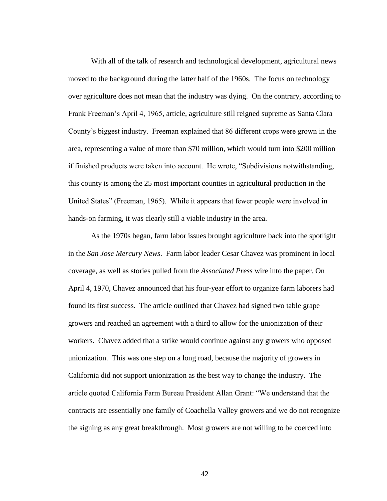With all of the talk of research and technological development, agricultural news moved to the background during the latter half of the 1960s. The focus on technology over agriculture does not mean that the industry was dying. On the contrary, according to Frank Freeman's April 4, 1965, article, agriculture still reigned supreme as Santa Clara County's biggest industry. Freeman explained that 86 different crops were grown in the area, representing a value of more than \$70 million, which would turn into \$200 million if finished products were taken into account. He wrote, "Subdivisions notwithstanding, this county is among the 25 most important counties in agricultural production in the United States" (Freeman, 1965). While it appears that fewer people were involved in hands-on farming, it was clearly still a viable industry in the area.

As the 1970s began, farm labor issues brought agriculture back into the spotlight in the *San Jose Mercury News*. Farm labor leader Cesar Chavez was prominent in local coverage, as well as stories pulled from the *Associated Press* wire into the paper. On April 4, 1970, Chavez announced that his four-year effort to organize farm laborers had found its first success. The article outlined that Chavez had signed two table grape growers and reached an agreement with a third to allow for the unionization of their workers. Chavez added that a strike would continue against any growers who opposed unionization. This was one step on a long road, because the majority of growers in California did not support unionization as the best way to change the industry. The article quoted California Farm Bureau President Allan Grant: "We understand that the contracts are essentially one family of Coachella Valley growers and we do not recognize the signing as any great breakthrough. Most growers are not willing to be coerced into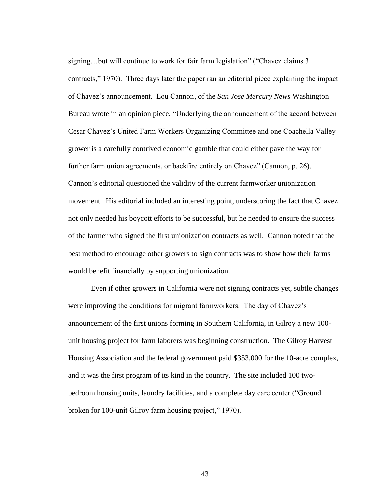signing...but will continue to work for fair farm legislation" ("Chavez claims 3 contracts,‖ 1970). Three days later the paper ran an editorial piece explaining the impact of Chavez's announcement. Lou Cannon, of the *San Jose Mercury News* Washington Bureau wrote in an opinion piece, "Underlying the announcement of the accord between Cesar Chavez's United Farm Workers Organizing Committee and one Coachella Valley grower is a carefully contrived economic gamble that could either pave the way for further farm union agreements, or backfire entirely on Chavez" (Cannon, p. 26). Cannon's editorial questioned the validity of the current farmworker unionization movement. His editorial included an interesting point, underscoring the fact that Chavez not only needed his boycott efforts to be successful, but he needed to ensure the success of the farmer who signed the first unionization contracts as well. Cannon noted that the best method to encourage other growers to sign contracts was to show how their farms would benefit financially by supporting unionization.

Even if other growers in California were not signing contracts yet, subtle changes were improving the conditions for migrant farmworkers. The day of Chavez's announcement of the first unions forming in Southern California, in Gilroy a new 100 unit housing project for farm laborers was beginning construction. The Gilroy Harvest Housing Association and the federal government paid \$353,000 for the 10-acre complex, and it was the first program of its kind in the country. The site included 100 twobedroom housing units, laundry facilities, and a complete day care center ("Ground broken for 100-unit Gilroy farm housing project," 1970).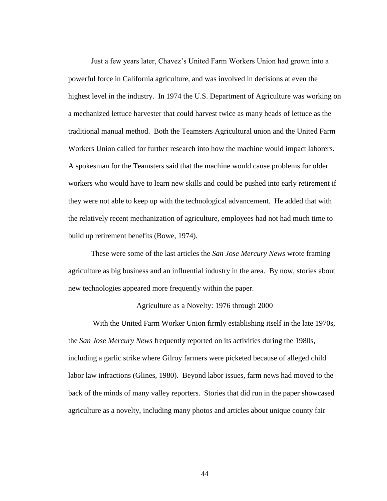Just a few years later, Chavez's United Farm Workers Union had grown into a powerful force in California agriculture, and was involved in decisions at even the highest level in the industry. In 1974 the U.S. Department of Agriculture was working on a mechanized lettuce harvester that could harvest twice as many heads of lettuce as the traditional manual method. Both the Teamsters Agricultural union and the United Farm Workers Union called for further research into how the machine would impact laborers. A spokesman for the Teamsters said that the machine would cause problems for older workers who would have to learn new skills and could be pushed into early retirement if they were not able to keep up with the technological advancement. He added that with the relatively recent mechanization of agriculture, employees had not had much time to build up retirement benefits (Bowe, 1974).

These were some of the last articles the *San Jose Mercury News* wrote framing agriculture as big business and an influential industry in the area. By now, stories about new technologies appeared more frequently within the paper.

# Agriculture as a Novelty: 1976 through 2000

With the United Farm Worker Union firmly establishing itself in the late 1970s, the *San Jose Mercury News* frequently reported on its activities during the 1980s, including a garlic strike where Gilroy farmers were picketed because of alleged child labor law infractions (Glines, 1980). Beyond labor issues, farm news had moved to the back of the minds of many valley reporters. Stories that did run in the paper showcased agriculture as a novelty, including many photos and articles about unique county fair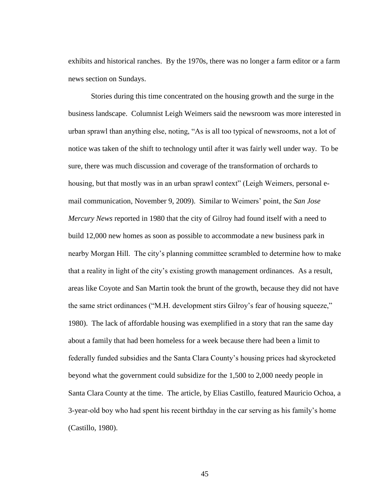exhibits and historical ranches. By the 1970s, there was no longer a farm editor or a farm news section on Sundays.

Stories during this time concentrated on the housing growth and the surge in the business landscape. Columnist Leigh Weimers said the newsroom was more interested in urban sprawl than anything else, noting, "As is all too typical of newsrooms, not a lot of notice was taken of the shift to technology until after it was fairly well under way. To be sure, there was much discussion and coverage of the transformation of orchards to housing, but that mostly was in an urban sprawl context" (Leigh Weimers, personal email communication, November 9, 2009). Similar to Weimers' point, the *San Jose Mercury News* reported in 1980 that the city of Gilroy had found itself with a need to build 12,000 new homes as soon as possible to accommodate a new business park in nearby Morgan Hill. The city's planning committee scrambled to determine how to make that a reality in light of the city's existing growth management ordinances. As a result, areas like Coyote and San Martin took the brunt of the growth, because they did not have the same strict ordinances ("M.H. development stirs Gilroy's fear of housing squeeze," 1980). The lack of affordable housing was exemplified in a story that ran the same day about a family that had been homeless for a week because there had been a limit to federally funded subsidies and the Santa Clara County's housing prices had skyrocketed beyond what the government could subsidize for the 1,500 to 2,000 needy people in Santa Clara County at the time. The article, by Elias Castillo, featured Mauricio Ochoa, a 3-year-old boy who had spent his recent birthday in the car serving as his family's home (Castillo, 1980).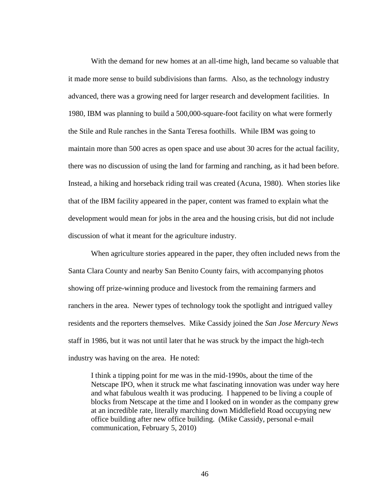With the demand for new homes at an all-time high, land became so valuable that it made more sense to build subdivisions than farms. Also, as the technology industry advanced, there was a growing need for larger research and development facilities. In 1980, IBM was planning to build a 500,000-square-foot facility on what were formerly the Stile and Rule ranches in the Santa Teresa foothills. While IBM was going to maintain more than 500 acres as open space and use about 30 acres for the actual facility, there was no discussion of using the land for farming and ranching, as it had been before. Instead, a hiking and horseback riding trail was created (Acuna, 1980). When stories like that of the IBM facility appeared in the paper, content was framed to explain what the development would mean for jobs in the area and the housing crisis, but did not include discussion of what it meant for the agriculture industry.

When agriculture stories appeared in the paper, they often included news from the Santa Clara County and nearby San Benito County fairs, with accompanying photos showing off prize-winning produce and livestock from the remaining farmers and ranchers in the area. Newer types of technology took the spotlight and intrigued valley residents and the reporters themselves. Mike Cassidy joined the *San Jose Mercury News* staff in 1986, but it was not until later that he was struck by the impact the high-tech industry was having on the area. He noted:

I think a tipping point for me was in the mid-1990s, about the time of the Netscape IPO, when it struck me what fascinating innovation was under way here and what fabulous wealth it was producing. I happened to be living a couple of blocks from Netscape at the time and I looked on in wonder as the company grew at an incredible rate, literally marching down Middlefield Road occupying new office building after new office building. (Mike Cassidy, personal e-mail communication, February 5, 2010)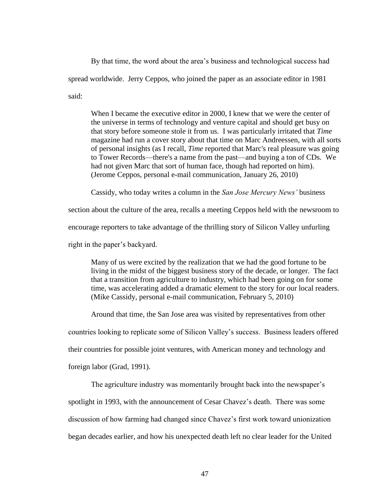By that time, the word about the area's business and technological success had spread worldwide. Jerry Ceppos, who joined the paper as an associate editor in 1981 said:

When I became the executive editor in 2000, I knew that we were the center of the universe in terms of technology and venture capital and should get busy on that story before someone stole it from us. I was particularly irritated that *Time*  magazine had run a cover story about that time on Marc Andreessen, with all sorts of personal insights (as I recall, *Time* reported that Marc's real pleasure was going to Tower Records—there's a name from the past—and buying a ton of CDs. We had not given Marc that sort of human face, though had reported on him). (Jerome Ceppos, personal e-mail communication, January 26, 2010)

Cassidy, who today writes a column in the *San Jose Mercury News'* business

section about the culture of the area, recalls a meeting Ceppos held with the newsroom to

encourage reporters to take advantage of the thrilling story of Silicon Valley unfurling

right in the paper's backyard.

Many of us were excited by the realization that we had the good fortune to be living in the midst of the biggest business story of the decade, or longer. The fact that a transition from agriculture to industry, which had been going on for some time, was accelerating added a dramatic element to the story for our local readers. (Mike Cassidy, personal e-mail communication, February 5, 2010)

Around that time, the San Jose area was visited by representatives from other

countries looking to replicate some of Silicon Valley's success. Business leaders offered

their countries for possible joint ventures, with American money and technology and

foreign labor (Grad, 1991).

The agriculture industry was momentarily brought back into the newspaper's spotlight in 1993, with the announcement of Cesar Chavez's death. There was some discussion of how farming had changed since Chavez's first work toward unionization began decades earlier, and how his unexpected death left no clear leader for the United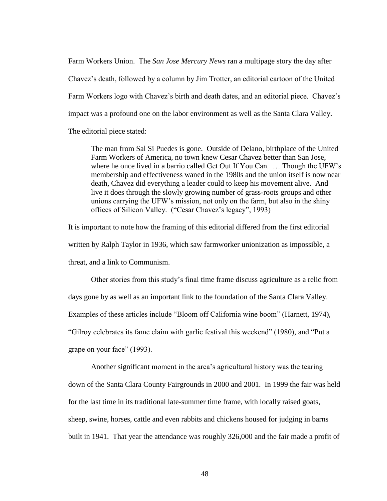Farm Workers Union. The *San Jose Mercury News* ran a multipage story the day after Chavez's death, followed by a column by Jim Trotter, an editorial cartoon of the United Farm Workers logo with Chavez's birth and death dates, and an editorial piece. Chavez's impact was a profound one on the labor environment as well as the Santa Clara Valley. The editorial piece stated:

The man from Sal Si Puedes is gone. Outside of Delano, birthplace of the United Farm Workers of America, no town knew Cesar Chavez better than San Jose, where he once lived in a barrio called Get Out If You Can. … Though the UFW's membership and effectiveness waned in the 1980s and the union itself is now near death, Chavez did everything a leader could to keep his movement alive. And live it does through the slowly growing number of grass-roots groups and other unions carrying the UFW's mission, not only on the farm, but also in the shiny offices of Silicon Valley. ("Cesar Chavez's legacy", 1993)

It is important to note how the framing of this editorial differed from the first editorial written by Ralph Taylor in 1936, which saw farmworker unionization as impossible, a threat, and a link to Communism.

Other stories from this study's final time frame discuss agriculture as a relic from days gone by as well as an important link to the foundation of the Santa Clara Valley. Examples of these articles include "Bloom off California wine boom" (Harnett, 1974), "Gilroy celebrates its fame claim with garlic festival this weekend" (1980), and "Put a grape on your face" (1993).

Another significant moment in the area's agricultural history was the tearing down of the Santa Clara County Fairgrounds in 2000 and 2001. In 1999 the fair was held for the last time in its traditional late-summer time frame, with locally raised goats, sheep, swine, horses, cattle and even rabbits and chickens housed for judging in barns built in 1941. That year the attendance was roughly 326,000 and the fair made a profit of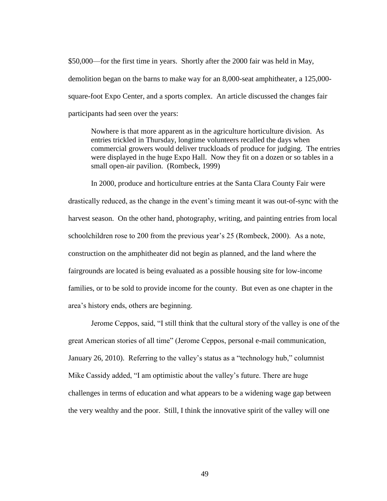\$50,000—for the first time in years. Shortly after the 2000 fair was held in May, demolition began on the barns to make way for an 8,000-seat amphitheater, a 125,000 square-foot Expo Center, and a sports complex. An article discussed the changes fair participants had seen over the years:

Nowhere is that more apparent as in the agriculture horticulture division. As entries trickled in Thursday, longtime volunteers recalled the days when commercial growers would deliver truckloads of produce for judging. The entries were displayed in the huge Expo Hall. Now they fit on a dozen or so tables in a small open-air pavilion. (Rombeck, 1999)

In 2000, produce and horticulture entries at the Santa Clara County Fair were drastically reduced, as the change in the event's timing meant it was out-of-sync with the harvest season. On the other hand, photography, writing, and painting entries from local schoolchildren rose to 200 from the previous year's 25 (Rombeck, 2000). As a note, construction on the amphitheater did not begin as planned, and the land where the fairgrounds are located is being evaluated as a possible housing site for low-income families, or to be sold to provide income for the county. But even as one chapter in the area's history ends, others are beginning.

Jerome Ceppos, said, "I still think that the cultural story of the valley is one of the great American stories of all time" (Jerome Ceppos, personal e-mail communication, January 26, 2010). Referring to the valley's status as a "technology hub," columnist Mike Cassidy added, "I am optimistic about the valley's future. There are huge challenges in terms of education and what appears to be a widening wage gap between the very wealthy and the poor. Still, I think the innovative spirit of the valley will one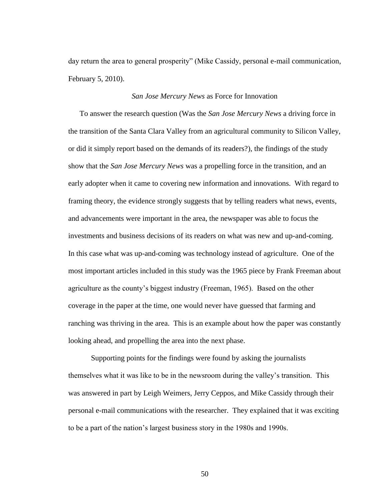day return the area to general prosperity" (Mike Cassidy, personal e-mail communication, February 5, 2010).

#### *San Jose Mercury News* as Force for Innovation

To answer the research question (Was the *San Jose Mercury News* a driving force in the transition of the Santa Clara Valley from an agricultural community to Silicon Valley, or did it simply report based on the demands of its readers?), the findings of the study show that the *San Jose Mercury News* was a propelling force in the transition, and an early adopter when it came to covering new information and innovations. With regard to framing theory, the evidence strongly suggests that by telling readers what news, events, and advancements were important in the area, the newspaper was able to focus the investments and business decisions of its readers on what was new and up-and-coming. In this case what was up-and-coming was technology instead of agriculture. One of the most important articles included in this study was the 1965 piece by Frank Freeman about agriculture as the county's biggest industry (Freeman, 1965). Based on the other coverage in the paper at the time, one would never have guessed that farming and ranching was thriving in the area. This is an example about how the paper was constantly looking ahead, and propelling the area into the next phase.

Supporting points for the findings were found by asking the journalists themselves what it was like to be in the newsroom during the valley's transition. This was answered in part by Leigh Weimers, Jerry Ceppos, and Mike Cassidy through their personal e-mail communications with the researcher. They explained that it was exciting to be a part of the nation's largest business story in the 1980s and 1990s.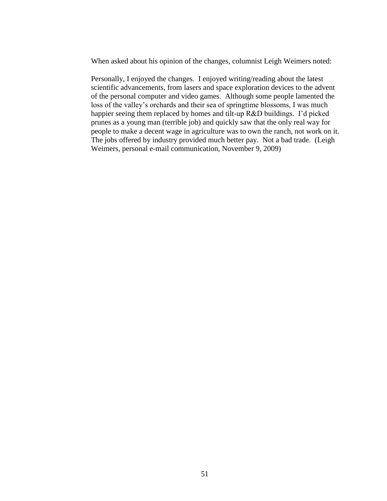When asked about his opinion of the changes, columnist Leigh Weimers noted:

Personally, I enjoyed the changes. I enjoyed writing/reading about the latest scientific advancements, from lasers and space exploration devices to the advent of the personal computer and video games. Although some people lamented the loss of the valley's orchards and their sea of springtime blossoms, I was much happier seeing them replaced by homes and tilt-up R&D buildings. I'd picked prunes as a young man (terrible job) and quickly saw that the only real way for people to make a decent wage in agriculture was to own the ranch, not work on it. The jobs offered by industry provided much better pay. Not a bad trade. (Leigh Weimers, personal e-mail communication, November 9, 2009)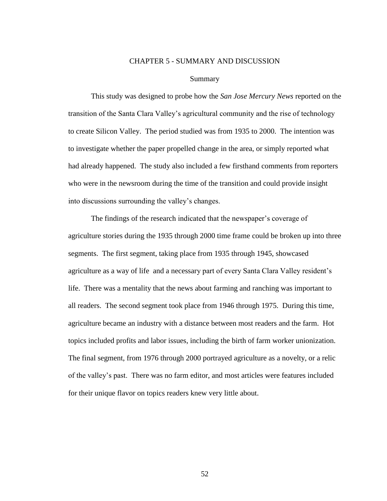## CHAPTER 5 - SUMMARY AND DISCUSSION

#### Summary

This study was designed to probe how the *San Jose Mercury News* reported on the transition of the Santa Clara Valley's agricultural community and the rise of technology to create Silicon Valley. The period studied was from 1935 to 2000. The intention was to investigate whether the paper propelled change in the area, or simply reported what had already happened. The study also included a few firsthand comments from reporters who were in the newsroom during the time of the transition and could provide insight into discussions surrounding the valley's changes.

The findings of the research indicated that the newspaper's coverage of agriculture stories during the 1935 through 2000 time frame could be broken up into three segments. The first segment, taking place from 1935 through 1945, showcased agriculture as a way of life and a necessary part of every Santa Clara Valley resident's life. There was a mentality that the news about farming and ranching was important to all readers. The second segment took place from 1946 through 1975. During this time, agriculture became an industry with a distance between most readers and the farm. Hot topics included profits and labor issues, including the birth of farm worker unionization. The final segment, from 1976 through 2000 portrayed agriculture as a novelty, or a relic of the valley's past. There was no farm editor, and most articles were features included for their unique flavor on topics readers knew very little about.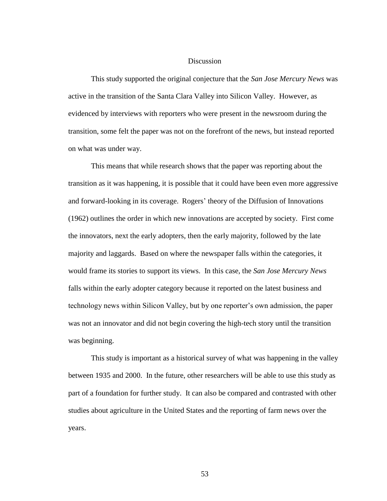## Discussion

This study supported the original conjecture that the *San Jose Mercury News* was active in the transition of the Santa Clara Valley into Silicon Valley. However, as evidenced by interviews with reporters who were present in the newsroom during the transition, some felt the paper was not on the forefront of the news, but instead reported on what was under way.

This means that while research shows that the paper was reporting about the transition as it was happening, it is possible that it could have been even more aggressive and forward-looking in its coverage. Rogers' theory of the Diffusion of Innovations (1962) outlines the order in which new innovations are accepted by society. First come the innovators, next the early adopters, then the early majority, followed by the late majority and laggards. Based on where the newspaper falls within the categories, it would frame its stories to support its views. In this case, the *San Jose Mercury News* falls within the early adopter category because it reported on the latest business and technology news within Silicon Valley, but by one reporter's own admission, the paper was not an innovator and did not begin covering the high-tech story until the transition was beginning.

This study is important as a historical survey of what was happening in the valley between 1935 and 2000. In the future, other researchers will be able to use this study as part of a foundation for further study. It can also be compared and contrasted with other studies about agriculture in the United States and the reporting of farm news over the years.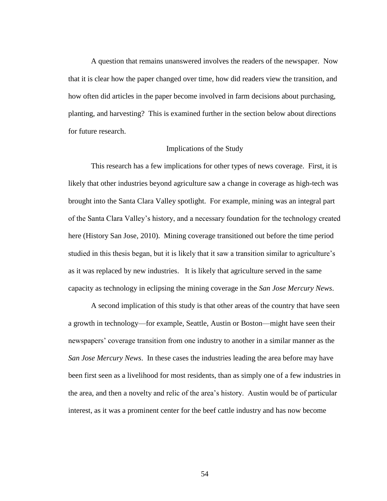A question that remains unanswered involves the readers of the newspaper. Now that it is clear how the paper changed over time, how did readers view the transition, and how often did articles in the paper become involved in farm decisions about purchasing, planting, and harvesting? This is examined further in the section below about directions for future research.

## Implications of the Study

This research has a few implications for other types of news coverage. First, it is likely that other industries beyond agriculture saw a change in coverage as high-tech was brought into the Santa Clara Valley spotlight. For example, mining was an integral part of the Santa Clara Valley's history, and a necessary foundation for the technology created here (History San Jose, 2010). Mining coverage transitioned out before the time period studied in this thesis began, but it is likely that it saw a transition similar to agriculture's as it was replaced by new industries. It is likely that agriculture served in the same capacity as technology in eclipsing the mining coverage in the *San Jose Mercury News*.

A second implication of this study is that other areas of the country that have seen a growth in technology—for example, Seattle, Austin or Boston—might have seen their newspapers' coverage transition from one industry to another in a similar manner as the *San Jose Mercury News*. In these cases the industries leading the area before may have been first seen as a livelihood for most residents, than as simply one of a few industries in the area, and then a novelty and relic of the area's history. Austin would be of particular interest, as it was a prominent center for the beef cattle industry and has now become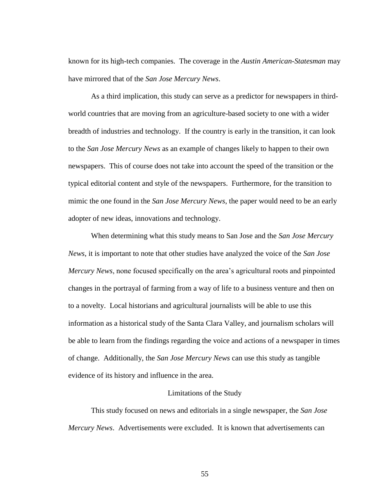known for its high-tech companies. The coverage in the *Austin American-Statesman* may have mirrored that of the *San Jose Mercury News*.

As a third implication, this study can serve as a predictor for newspapers in thirdworld countries that are moving from an agriculture-based society to one with a wider breadth of industries and technology. If the country is early in the transition, it can look to the *San Jose Mercury News* as an example of changes likely to happen to their own newspapers. This of course does not take into account the speed of the transition or the typical editorial content and style of the newspapers. Furthermore, for the transition to mimic the one found in the *San Jose Mercury News*, the paper would need to be an early adopter of new ideas, innovations and technology.

When determining what this study means to San Jose and the *San Jose Mercury News*, it is important to note that other studies have analyzed the voice of the *San Jose Mercury News*, none focused specifically on the area's agricultural roots and pinpointed changes in the portrayal of farming from a way of life to a business venture and then on to a novelty. Local historians and agricultural journalists will be able to use this information as a historical study of the Santa Clara Valley, and journalism scholars will be able to learn from the findings regarding the voice and actions of a newspaper in times of change. Additionally, the *San Jose Mercury News* can use this study as tangible evidence of its history and influence in the area.

# Limitations of the Study

This study focused on news and editorials in a single newspaper, the *San Jose Mercury News*. Advertisements were excluded. It is known that advertisements can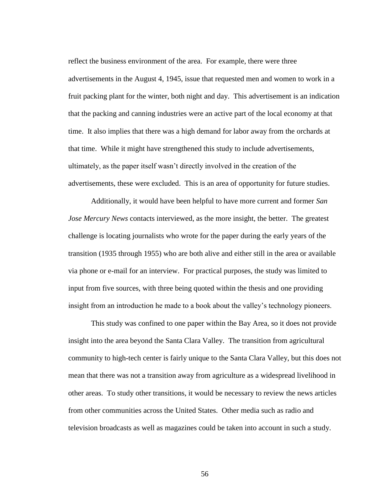reflect the business environment of the area. For example, there were three advertisements in the August 4, 1945, issue that requested men and women to work in a fruit packing plant for the winter, both night and day. This advertisement is an indication that the packing and canning industries were an active part of the local economy at that time. It also implies that there was a high demand for labor away from the orchards at that time. While it might have strengthened this study to include advertisements, ultimately, as the paper itself wasn't directly involved in the creation of the advertisements, these were excluded. This is an area of opportunity for future studies.

Additionally, it would have been helpful to have more current and former *San Jose Mercury News* contacts interviewed, as the more insight, the better. The greatest challenge is locating journalists who wrote for the paper during the early years of the transition (1935 through 1955) who are both alive and either still in the area or available via phone or e-mail for an interview. For practical purposes, the study was limited to input from five sources, with three being quoted within the thesis and one providing insight from an introduction he made to a book about the valley's technology pioneers.

This study was confined to one paper within the Bay Area, so it does not provide insight into the area beyond the Santa Clara Valley. The transition from agricultural community to high-tech center is fairly unique to the Santa Clara Valley, but this does not mean that there was not a transition away from agriculture as a widespread livelihood in other areas. To study other transitions, it would be necessary to review the news articles from other communities across the United States. Other media such as radio and television broadcasts as well as magazines could be taken into account in such a study.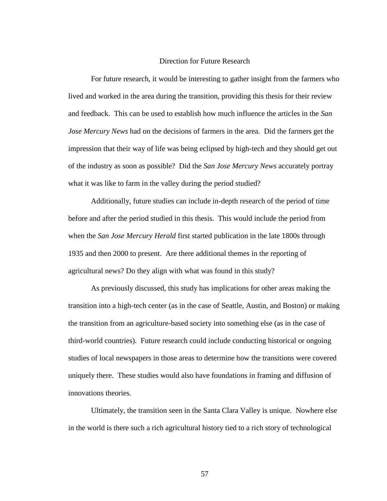## Direction for Future Research

For future research, it would be interesting to gather insight from the farmers who lived and worked in the area during the transition, providing this thesis for their review and feedback. This can be used to establish how much influence the articles in the *San Jose Mercury News* had on the decisions of farmers in the area. Did the farmers get the impression that their way of life was being eclipsed by high-tech and they should get out of the industry as soon as possible? Did the *San Jose Mercury News* accurately portray what it was like to farm in the valley during the period studied?

Additionally, future studies can include in-depth research of the period of time before and after the period studied in this thesis. This would include the period from when the *San Jose Mercury Herald* first started publication in the late 1800s through 1935 and then 2000 to present. Are there additional themes in the reporting of agricultural news? Do they align with what was found in this study?

As previously discussed, this study has implications for other areas making the transition into a high-tech center (as in the case of Seattle, Austin, and Boston) or making the transition from an agriculture-based society into something else (as in the case of third-world countries). Future research could include conducting historical or ongoing studies of local newspapers in those areas to determine how the transitions were covered uniquely there. These studies would also have foundations in framing and diffusion of innovations theories.

Ultimately, the transition seen in the Santa Clara Valley is unique. Nowhere else in the world is there such a rich agricultural history tied to a rich story of technological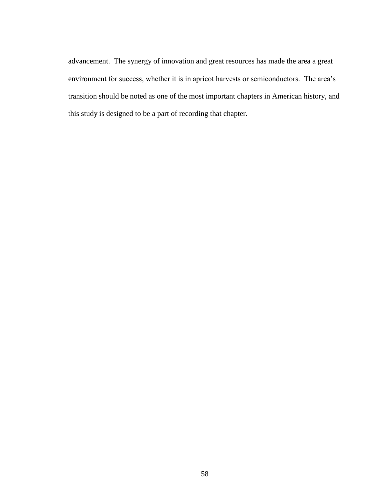advancement. The synergy of innovation and great resources has made the area a great environment for success, whether it is in apricot harvests or semiconductors. The area's transition should be noted as one of the most important chapters in American history, and this study is designed to be a part of recording that chapter.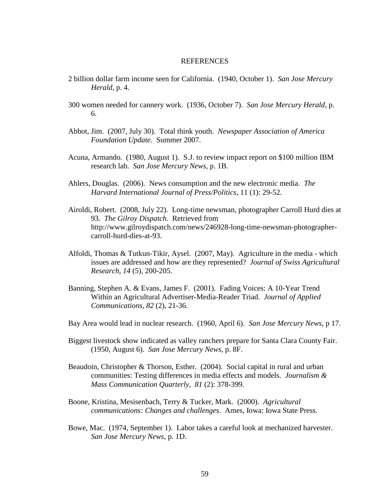#### REFERENCES

- 2 billion dollar farm income seen for California. (1940, October 1). *San Jose Mercury Herald,* p. 4.
- 300 women needed for cannery work. (1936, October 7). *San Jose Mercury Herald*, p. 6.
- Abbot, Jim. (2007, July 30). Total think youth. *Newspaper Association of America Foundation Update.* Summer 2007.
- Acuna, Armando. (1980, August 1). S.J. to review impact report on \$100 million IBM research lab. *San Jose Mercury News*, p. 1B.
- Ahlers, Douglas. (2006). News consumption and the new electronic media. *The Harvard International Journal of Press/Politics*, 11 (1): 29-52.
- Airoldi, Robert. (2008, July 22). Long-time newsman, photographer Carroll Hurd dies at 93. *The Gilroy Dispatch*. Retrieved from http://www.gilroydispatch.com/news/246928-long-time-newsman-photographercarroll-hurd-dies-at-93.
- Alfoldi, Thomas & Tutkun-Tikir, Aysel. (2007, May). Agriculture in the media which issues are addressed and how are they represented? *Journal of Swiss Agricultural Research*, *14* (5), 200-205.
- Banning, Stephen A. & Evans, James F. (2001). Fading Voices: A 10-Year Trend Within an Agricultural Advertiser-Media-Reader Triad. *Journal of Applied Communications, 82* (2), 21-36.
- Bay Area would lead in nuclear research. (1960, April 6). *San Jose Mercury News*, p 17.
- Biggest livestock show indicated as valley ranchers prepare for Santa Clara County Fair. (1950, August 6). *San Jose Mercury News*, p. 8F.
- Beaudoin, Christopher & Thorson, Esther. (2004). Social capital in rural and urban communities: Testing differences in media effects and models. *Journalism & Mass Communication Quarterly*, *81* (2): 378-399.
- Boone, Kristina, Mesisenbach, Terry & Tucker, Mark. (2000). *Agricultural communications: Changes and challenges*. Ames, Iowa: Iowa State Press.
- Bowe, Mac. (1974, September 1). Labor takes a careful look at mechanized harvester. *San Jose Mercury News*, p. 1D.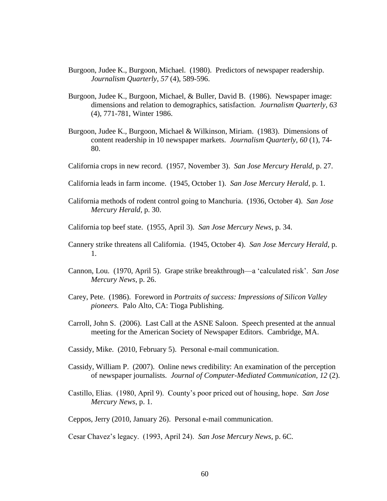- Burgoon, Judee K., Burgoon, Michael. (1980). Predictors of newspaper readership. *Journalism Quarterly*, *57* (4), 589-596.
- Burgoon, Judee K., Burgoon, Michael, & Buller, David B. (1986). Newspaper image: dimensions and relation to demographics, satisfaction. *Journalism Quarterly*, *63* (4), 771-781, Winter 1986.
- Burgoon, Judee K., Burgoon, Michael & Wilkinson, Miriam. (1983). Dimensions of content readership in 10 newspaper markets. *Journalism Quarterly*, *60* (1), 74- 80.
- California crops in new record. (1957, November 3). *San Jose Mercury Herald*, p. 27.
- California leads in farm income. (1945, October 1). *San Jose Mercury Herald*, p. 1.
- California methods of rodent control going to Manchuria. (1936, October 4). *San Jose Mercury Herald*, p. 30.
- California top beef state. (1955, April 3). *San Jose Mercury News*, p. 34.
- Cannery strike threatens all California. (1945, October 4). *San Jose Mercury Herald*, p. 1.
- Cannon, Lou. (1970, April 5). Grape strike breakthrough—a ‗calculated risk'. *San Jose Mercury News*, p. 26.
- Carey, Pete. (1986). Foreword in *Portraits of success: Impressions of Silicon Valley pioneers.* Palo Alto, CA: Tioga Publishing.
- Carroll, John S. (2006). Last Call at the ASNE Saloon. Speech presented at the annual meeting for the American Society of Newspaper Editors. Cambridge, MA.
- Cassidy, Mike. (2010, February 5). Personal e-mail communication.
- Cassidy, William P. (2007). Online news credibility: An examination of the perception of newspaper journalists. *Journal of Computer-Mediated Communication*, *12* (2).
- Castillo, Elias. (1980, April 9). County's poor priced out of housing, hope. *San Jose Mercury News*, p. 1.

Ceppos, Jerry (2010, January 26). Personal e-mail communication.

Cesar Chavez's legacy. (1993, April 24). *San Jose Mercury News*, p. 6C.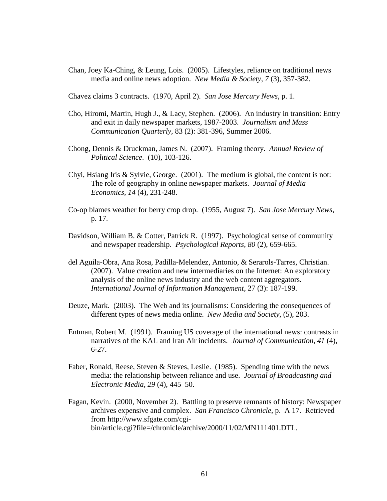Chan, Joey Ka-Ching, & Leung, Lois. (2005). Lifestyles, reliance on traditional news media and online news adoption. *New Media & Society*, *7* (3), 357-382.

Chavez claims 3 contracts. (1970, April 2). *San Jose Mercury News*, p. 1.

- Cho, Hiromi, Martin, Hugh J., & Lacy, Stephen. (2006). An industry in transition: Entry and exit in daily newspaper markets, 1987-2003. *Journalism and Mass Communication Quarterly,* 83 (2): 381-396, Summer 2006.
- Chong, Dennis & Druckman, James N. (2007). Framing theory. *Annual Review of Political Science*. (10), 103-126.
- Chyi, Hsiang Iris & Sylvie, George. (2001). The medium is global, the content is not: The role of geography in online newspaper markets. *Journal of Media Economics*, *14* (4), 231-248.
- Co-op blames weather for berry crop drop. (1955, August 7). *San Jose Mercury News*, p. 17.
- Davidson, William B. & Cotter, Patrick R. (1997). Psychological sense of community and newspaper readership. *Psychological Reports*, *80* (2), 659-665.
- del Aguila-Obra, Ana Rosa, Padilla-Melendez, Antonio, & Serarols-Tarres, Christian. (2007). Value creation and new intermediaries on the Internet: An exploratory analysis of the online news industry and the web content aggregators. *International Journal of Information Management*, 27 (3): 187-199.
- Deuze, Mark. (2003). The Web and its journalisms: Considering the consequences of different types of news media online. *New Media and Society*, (5), 203.
- Entman, Robert M. (1991). Framing US coverage of the international news: contrasts in narratives of the KAL and Iran Air incidents. *Journal of Communication*, *41* (4), 6-27.
- Faber, Ronald, Reese, Steven & Steves, Leslie. (1985). Spending time with the news media: the relationship between reliance and use. *Journal of Broadcasting and Electronic Media*, *29* (4), 445–50.
- Fagan, Kevin. (2000, November 2). Battling to preserve remnants of history: Newspaper archives expensive and complex. *San Francisco Chronicle*, p. A 17. Retrieved from http://www.sfgate.com/cgibin/article.cgi?file=/chronicle/archive/2000/11/02/MN111401.DTL.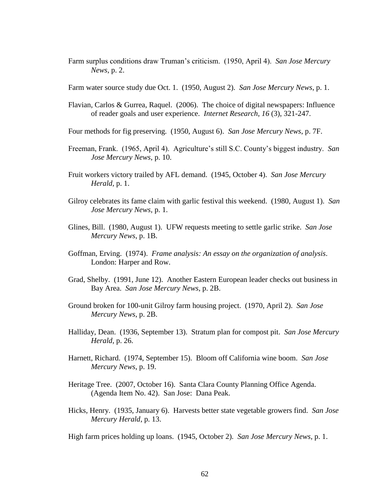Farm surplus conditions draw Truman's criticism. (1950, April 4). *San Jose Mercury News,* p. 2.

Farm water source study due Oct. 1. (1950, August 2). *San Jose Mercury News*, p. 1.

- Flavian, Carlos & Gurrea, Raquel. (2006). The choice of digital newspapers: Influence of reader goals and user experience. *Internet Research*, *16* (3), 321-247.
- Four methods for fig preserving. (1950, August 6). *San Jose Mercury News*, p. 7F.
- Freeman, Frank. (1965, April 4). Agriculture's still S.C. County's biggest industry. *San Jose Mercury News*, p. 10.
- Fruit workers victory trailed by AFL demand. (1945, October 4). *San Jose Mercury Herald,* p. 1.
- Gilroy celebrates its fame claim with garlic festival this weekend. (1980, August 1). *San Jose Mercury News,* p. 1.
- Glines, Bill. (1980, August 1). UFW requests meeting to settle garlic strike. *San Jose Mercury News*, p. 1B.
- Goffman, Erving. (1974). *Frame analysis: An essay on the organization of analysis*. London: Harper and Row.
- Grad, Shelby. (1991, June 12). Another Eastern European leader checks out business in Bay Area. *San Jose Mercury News*, p. 2B.
- Ground broken for 100-unit Gilroy farm housing project. (1970, April 2). *San Jose Mercury News*, p. 2B.
- Halliday, Dean. (1936, September 13). Stratum plan for compost pit. *San Jose Mercury Herald*, p. 26.
- Harnett, Richard. (1974, September 15). Bloom off California wine boom. *San Jose Mercury News*, p. 19.
- Heritage Tree. (2007, October 16). Santa Clara County Planning Office Agenda. (Agenda Item No. 42). San Jose: Dana Peak.
- Hicks, Henry. (1935, January 6). Harvests better state vegetable growers find. *San Jose Mercury Herald*, p. 13.

High farm prices holding up loans. (1945, October 2). *San Jose Mercury News*, p. 1.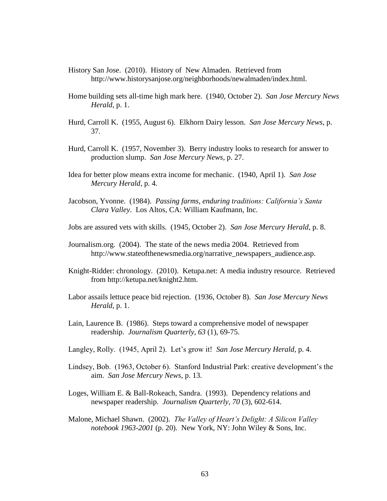- History San Jose. (2010). History of New Almaden. Retrieved from http://www.historysanjose.org/neighborhoods/newalmaden/index.html.
- Home building sets all-time high mark here. (1940, October 2). *San Jose Mercury News Herald*, p. 1.
- Hurd, Carroll K. (1955, August 6). Elkhorn Dairy lesson. *San Jose Mercury News*, p. 37.
- Hurd, Carroll K. (1957, November 3). Berry industry looks to research for answer to production slump. *San Jose Mercury News*, p. 27.
- Idea for better plow means extra income for mechanic. (1940, April 1). *San Jose Mercury Herald*, p. 4.
- Jacobson, Yvonne. (1984). *Passing farms, enduring traditions: California's Santa Clara Valley*. Los Altos, CA: William Kaufmann, Inc.
- Jobs are assured vets with skills. (1945, October 2). *San Jose Mercury Herald*, p. 8.
- Journalism.org. (2004). The state of the news media 2004. Retrieved from http://www.stateofthenewsmedia.org/narrative\_newspapers\_audience.asp.
- Knight-Ridder: chronology. (2010). Ketupa.net: A media industry resource. Retrieved from http://ketupa.net/knight2.htm.
- Labor assails lettuce peace bid rejection. (1936, October 8). *San Jose Mercury News Herald*, p. 1.
- Lain, Laurence B. (1986). Steps toward a comprehensive model of newspaper readership. *Journalism Quarterly*, *63* (1), 69-75.
- Langley, Rolly. (1945, April 2). Let's grow it! *San Jose Mercury Herald*, p. 4.
- Lindsey, Bob. (1963, October 6). Stanford Industrial Park: creative development's the aim. *San Jose Mercury News*, p. 13.
- Loges, William E. & Ball-Rokeach, Sandra. (1993). Dependency relations and newspaper readership. *Journalism Quarterly*, *70* (3), 602-614.
- Malone, Michael Shawn. (2002). *The Valley of Heart's Delight: A Silicon Valley notebook 1963-2001* (p. 20). New York, NY: John Wiley & Sons, Inc.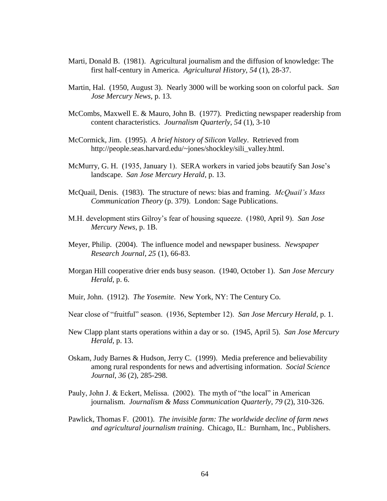- Marti, Donald B. (1981). Agricultural journalism and the diffusion of knowledge: The first half-century in America. *Agricultural History*, *54* (1), 28-37.
- Martin, Hal. (1950, August 3). Nearly 3000 will be working soon on colorful pack. *San Jose Mercury News*, p. 13.
- McCombs, Maxwell E. & Mauro, John B. (1977). Predicting newspaper readership from content characteristics. *Journalism Quarterly*, *54* (1), 3-10
- McCormick, Jim. (1995). *A brief history of Silicon Valley*. Retrieved from http://people.seas.harvard.edu/~jones/shockley/sili\_valley.html.
- McMurry, G. H. (1935, January 1). SERA workers in varied jobs beautify San Jose's landscape. *San Jose Mercury Herald*, p. 13.
- McQuail, Denis. (1983). The structure of news: bias and framing. *McQuail's Mass Communication Theory* (p. 379). London: Sage Publications.
- M.H. development stirs Gilroy's fear of housing squeeze. (1980, April 9). *San Jose Mercury News*, p. 1B.
- Meyer, Philip. (2004). The influence model and newspaper business. *Newspaper Research Journal*, *25* (1), 66-83.
- Morgan Hill cooperative drier ends busy season. (1940, October 1). *San Jose Mercury Herald*, p. 6.
- Muir, John. (1912). *The Yosemite*. New York, NY: The Century Co.
- Near close of "fruitful" season. (1936, September 12). *San Jose Mercury Herald*, p. 1.
- New Clapp plant starts operations within a day or so. (1945, April 5). *San Jose Mercury Herald*, p. 13.
- Oskam, Judy Barnes & Hudson, Jerry C. (1999). Media preference and believability among rural respondents for news and advertising information. *Social Science Journal*, *36* (2), 285-298.
- Pauly, John J. & Eckert, Melissa. (2002). The myth of "the local" in American journalism. *Journalism & Mass Communication Quarterly*, *79* (2), 310-326.
- Pawlick, Thomas F. (2001). *The invisible farm: The worldwide decline of farm news and agricultural journalism training*. Chicago, IL: Burnham, Inc., Publishers.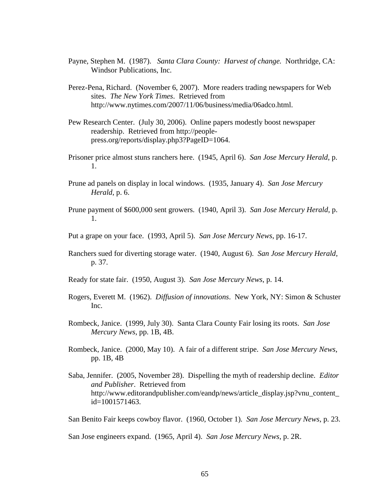- Payne, Stephen M. (1987). *Santa Clara County: Harvest of change.* Northridge, CA: Windsor Publications, Inc.
- Perez-Pena, Richard. (November 6, 2007). More readers trading newspapers for Web sites. *The New York Times*. Retrieved from http://www.nytimes.com/2007/11/06/business/media/06adco.html.
- Pew Research Center. (July 30, 2006). Online papers modestly boost newspaper readership. Retrieved from http://peoplepress.org/reports/display.php3?PageID=1064.
- Prisoner price almost stuns ranchers here. (1945, April 6). *San Jose Mercury Herald*, p. 1.
- Prune ad panels on display in local windows. (1935, January 4). *San Jose Mercury Herald*, p. 6.
- Prune payment of \$600,000 sent growers. (1940, April 3). *San Jose Mercury Herald*, p. 1.
- Put a grape on your face. (1993, April 5). *San Jose Mercury News*, pp. 16-17.
- Ranchers sued for diverting storage water. (1940, August 6). *San Jose Mercury Herald*, p. 37.
- Ready for state fair. (1950, August 3). *San Jose Mercury News*, p. 14.
- Rogers, Everett M. (1962). *Diffusion of innovations*. New York, NY: Simon & Schuster Inc.
- Rombeck, Janice. (1999, July 30). Santa Clara County Fair losing its roots. *San Jose Mercury News*, pp. 1B, 4B.
- Rombeck, Janice. (2000, May 10). A fair of a different stripe. *San Jose Mercury News*, pp. 1B, 4B
- Saba, Jennifer. (2005, November 28). Dispelling the myth of readership decline. *Editor and Publisher*. Retrieved from http://www.editorandpublisher.com/eandp/news/article\_display.jsp?vnu\_content\_ id=1001571463.

San Benito Fair keeps cowboy flavor. (1960, October 1). *San Jose Mercury News*, p. 23.

San Jose engineers expand. (1965, April 4). *San Jose Mercury News*, p. 2R.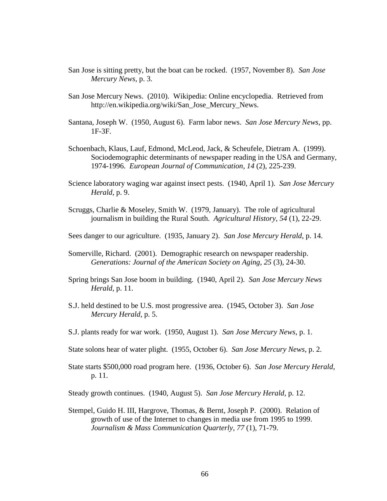- San Jose is sitting pretty, but the boat can be rocked. (1957, November 8). *San Jose Mercury News*, p. 3.
- San Jose Mercury News. (2010). Wikipedia: Online encyclopedia. Retrieved from http://en.wikipedia.org/wiki/San\_Jose\_Mercury\_News.
- Santana, Joseph W. (1950, August 6). Farm labor news. *San Jose Mercury News*, pp. 1F-3F.
- Schoenbach, Klaus, Lauf, Edmond, McLeod, Jack, & Scheufele, Dietram A. (1999). Sociodemographic determinants of newspaper reading in the USA and Germany, 1974-1996. *European Journal of Communication*, *14* (2), 225-239.
- Science laboratory waging war against insect pests. (1940, April 1). *San Jose Mercury Herald*, p. 9.
- Scruggs, Charlie & Moseley, Smith W. (1979, January). The role of agricultural journalism in building the Rural South. *Agricultural History*, *54* (1), 22-29.
- Sees danger to our agriculture. (1935, January 2). *San Jose Mercury Herald*, p. 14.
- Somerville, Richard. (2001). Demographic research on newspaper readership. *Generations: Journal of the American Society on Aging*, *25* (3), 24-30.
- Spring brings San Jose boom in building. (1940, April 2). *San Jose Mercury News Herald*, p. 11.
- S.J. held destined to be U.S. most progressive area. (1945, October 3). *San Jose Mercury Herald*, p. 5.
- S.J. plants ready for war work. (1950, August 1). *San Jose Mercury News*, p. 1.
- State solons hear of water plight. (1955, October 6). *San Jose Mercury News*, p. 2.
- State starts \$500,000 road program here. (1936, October 6). *San Jose Mercury Herald*, p. 11.

Steady growth continues. (1940, August 5). *San Jose Mercury Herald*, p. 12.

Stempel, Guido H. III, Hargrove, Thomas, & Bernt, Joseph P. (2000). Relation of growth of use of the Internet to changes in media use from 1995 to 1999. *Journalism & Mass Communication Quarterly*, *77* (1), 71-79.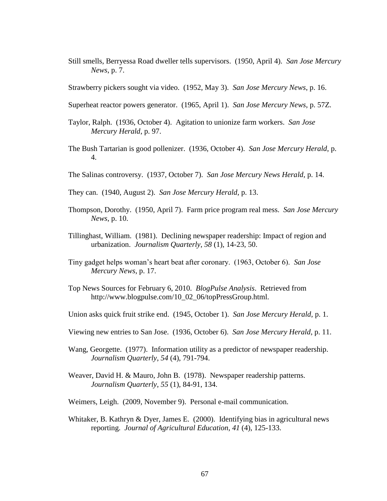Still smells, Berryessa Road dweller tells supervisors. (1950, April 4). *San Jose Mercury News*, p. 7.

Strawberry pickers sought via video. (1952, May 3). *San Jose Mercury News*, p. 16.

- Superheat reactor powers generator. (1965, April 1). *San Jose Mercury News*, p. 57Z.
- Taylor, Ralph. (1936, October 4). Agitation to unionize farm workers. *San Jose Mercury Herald*, p. 97.
- The Bush Tartarian is good pollenizer. (1936, October 4). *San Jose Mercury Herald*, p. 4.
- The Salinas controversy. (1937, October 7). *San Jose Mercury News Herald*, p. 14.
- They can. (1940, August 2). *San Jose Mercury Herald*, p. 13.
- Thompson, Dorothy. (1950, April 7). Farm price program real mess. *San Jose Mercury News*, p. 10.
- Tillinghast, William. (1981). Declining newspaper readership: Impact of region and urbanization. *Journalism Quarterly*, *58* (1), 14-23, 50.
- Tiny gadget helps woman's heart beat after coronary. (1963, October 6). *San Jose Mercury News*, p. 17.
- Top News Sources for February 6, 2010. *BlogPulse Analysis*. Retrieved from http://www.blogpulse.com/10\_02\_06/topPressGroup.html.
- Union asks quick fruit strike end. (1945, October 1). *San Jose Mercury Herald*, p. 1.
- Viewing new entries to San Jose. (1936, October 6). *San Jose Mercury Herald*, p. 11.
- Wang, Georgette. (1977). Information utility as a predictor of newspaper readership. *Journalism Quarterly*, *54* (4), 791-794.
- Weaver, David H. & Mauro, John B. (1978). Newspaper readership patterns. *Journalism Quarterly*, *55* (1), 84-91, 134.
- Weimers, Leigh. (2009, November 9). Personal e-mail communication.
- Whitaker, B. Kathryn & Dyer, James E. (2000). Identifying bias in agricultural news reporting. *Journal of Agricultural Education*, *41* (4), 125-133.